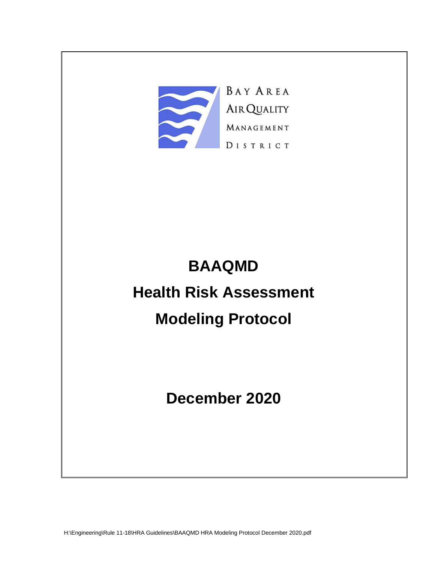

# **BAAQMD Health Risk Assessment Modeling Protocol**

**December 2020**

H:\Engineering\Rule 11-18\HRA Guidelines\BAAQMD HRA Modeling Protocol December 2020.pdf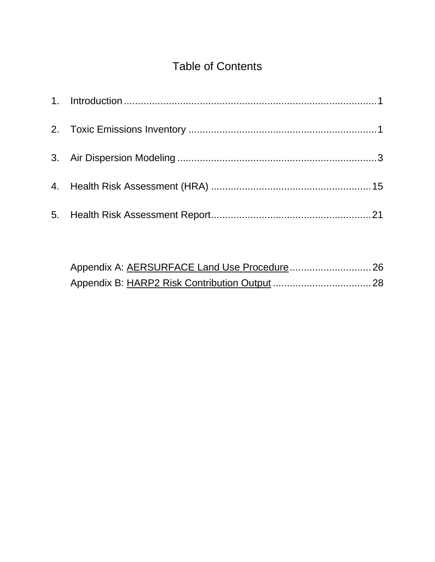# Table of Contents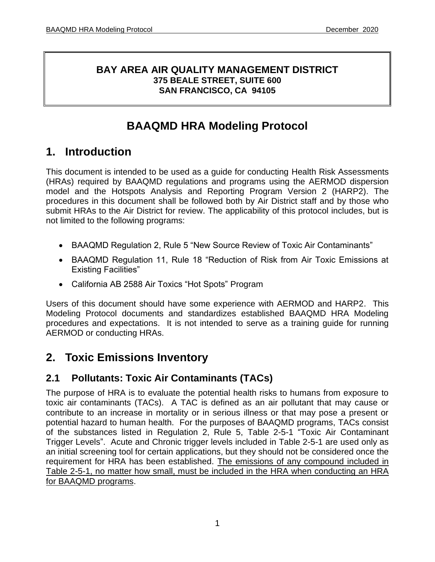#### **BAY AREA AIR QUALITY MANAGEMENT DISTRICT 375 BEALE STREET, SUITE 600 SAN FRANCISCO, CA 94105**

# **BAAQMD HRA Modeling Protocol**

# <span id="page-2-0"></span>**1. Introduction**

This document is intended to be used as a guide for conducting Health Risk Assessments (HRAs) required by BAAQMD regulations and programs using the AERMOD dispersion model and the Hotspots Analysis and Reporting Program Version 2 (HARP2). The procedures in this document shall be followed both by Air District staff and by those who submit HRAs to the Air District for review. The applicability of this protocol includes, but is not limited to the following programs:

- BAAQMD Regulation 2, Rule 5 "New Source Review of Toxic Air Contaminants"
- BAAQMD Regulation 11, Rule 18 "Reduction of Risk from Air Toxic Emissions at Existing Facilities"
- California AB 2588 Air Toxics "Hot Spots" Program

Users of this document should have some experience with AERMOD and HARP2. This Modeling Protocol documents and standardizes established BAAQMD HRA Modeling procedures and expectations. It is not intended to serve as a training guide for running AERMOD or conducting HRAs.

# <span id="page-2-1"></span>**2. Toxic Emissions Inventory**

# **2.1 Pollutants: Toxic Air Contaminants (TACs)**

The purpose of HRA is to evaluate the potential health risks to humans from exposure to toxic air contaminants (TACs). A TAC is defined as an air pollutant that may cause or contribute to an increase in mortality or in serious illness or that may pose a present or potential hazard to human health. For the purposes of BAAQMD programs, TACs consist of the substances listed in Regulation 2, Rule 5, Table 2-5-1 "Toxic Air Contaminant Trigger Levels". Acute and Chronic trigger levels included in Table 2-5-1 are used only as an initial screening tool for certain applications, but they should not be considered once the requirement for HRA has been established. The emissions of any compound included in Table 2-5-1, no matter how small, must be included in the HRA when conducting an HRA for BAAQMD programs.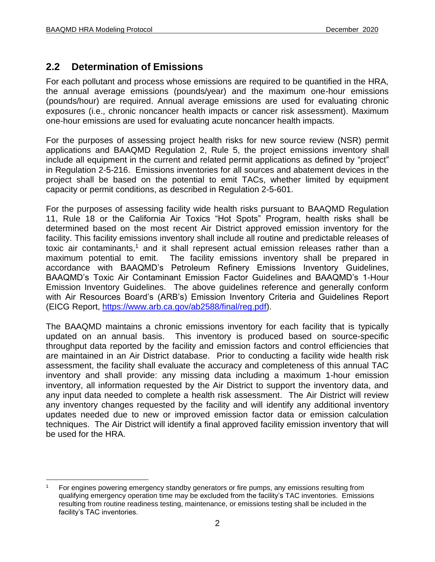### **2.2 Determination of Emissions**

For each pollutant and process whose emissions are required to be quantified in the HRA, the annual average emissions (pounds/year) and the maximum one-hour emissions (pounds/hour) are required. Annual average emissions are used for evaluating chronic exposures (i.e., chronic noncancer health impacts or cancer risk assessment). Maximum one-hour emissions are used for evaluating acute noncancer health impacts.

For the purposes of assessing project health risks for new source review (NSR) permit applications and BAAQMD Regulation 2, Rule 5, the project emissions inventory shall include all equipment in the current and related permit applications as defined by "project" in Regulation 2-5-216. Emissions inventories for all sources and abatement devices in the project shall be based on the potential to emit TACs, whether limited by equipment capacity or permit conditions, as described in Regulation 2-5-601.

For the purposes of assessing facility wide health risks pursuant to BAAQMD Regulation 11, Rule 18 or the California Air Toxics "Hot Spots" Program, health risks shall be determined based on the most recent Air District approved emission inventory for the facility. This facility emissions inventory shall include all routine and predictable releases of toxic air contaminants,<sup>1</sup> and it shall represent actual emission releases rather than a maximum potential to emit. The facility emissions inventory shall be prepared in accordance with BAAQMD's Petroleum Refinery Emissions Inventory Guidelines, BAAQMD's Toxic Air Contaminant Emission Factor Guidelines and BAAQMD's 1-Hour Emission Inventory Guidelines. The above guidelines reference and generally conform with Air Resources Board's (ARB's) Emission Inventory Criteria and Guidelines Report (EICG Report, [https://www.arb.ca.gov/ab2588/final/reg.pdf\)](https://www.arb.ca.gov/ab2588/final/reg.pdf).

The BAAQMD maintains a chronic emissions inventory for each facility that is typically updated on an annual basis. This inventory is produced based on source-specific throughput data reported by the facility and emission factors and control efficiencies that are maintained in an Air District database. Prior to conducting a facility wide health risk assessment, the facility shall evaluate the accuracy and completeness of this annual TAC inventory and shall provide: any missing data including a maximum 1-hour emission inventory, all information requested by the Air District to support the inventory data, and any input data needed to complete a health risk assessment. The Air District will review any inventory changes requested by the facility and will identify any additional inventory updates needed due to new or improved emission factor data or emission calculation techniques. The Air District will identify a final approved facility emission inventory that will be used for the HRA.

<sup>&</sup>lt;sup>1</sup> For engines powering emergency standby generators or fire pumps, any emissions resulting from qualifying emergency operation time may be excluded from the facility's TAC inventories. Emissions resulting from routine readiness testing, maintenance, or emissions testing shall be included in the facility's TAC inventories.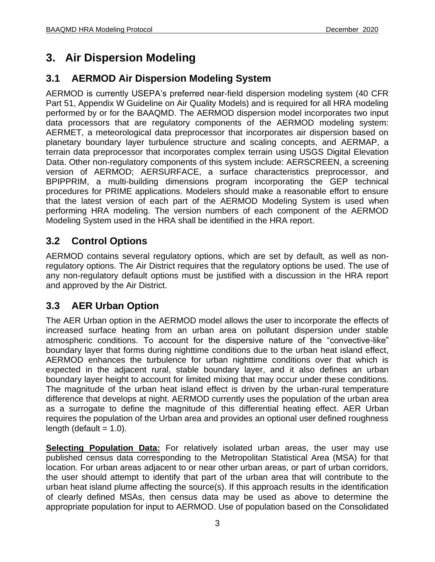# <span id="page-4-0"></span>**3. Air Dispersion Modeling**

# **3.1 AERMOD Air Dispersion Modeling System**

AERMOD is currently USEPA's preferred near-field dispersion modeling system (40 CFR Part 51, Appendix W Guideline on Air Quality Models) and is required for all HRA modeling performed by or for the BAAQMD. The AERMOD dispersion model incorporates two input data processors that are regulatory components of the AERMOD modeling system: AERMET, a meteorological data preprocessor that incorporates air dispersion based on planetary boundary layer turbulence structure and scaling concepts, and AERMAP, a terrain data preprocessor that incorporates complex terrain using USGS Digital Elevation Data. Other non-regulatory components of this system include: AERSCREEN, a screening version of AERMOD; AERSURFACE, a surface characteristics preprocessor, and BPIPPRIM, a multi-building dimensions program incorporating the GEP technical procedures for PRIME applications. Modelers should make a reasonable effort to ensure that the latest version of each part of the AERMOD Modeling System is used when performing HRA modeling. The version numbers of each component of the AERMOD Modeling System used in the HRA shall be identified in the HRA report.

# **3.2 Control Options**

AERMOD contains several regulatory options, which are set by default, as well as nonregulatory options. The Air District requires that the regulatory options be used. The use of any non-regulatory default options must be justified with a discussion in the HRA report and approved by the Air District.

# **3.3 AER Urban Option**

The AER Urban option in the AERMOD model allows the user to incorporate the effects of increased surface heating from an urban area on pollutant dispersion under stable atmospheric conditions. To account for the dispersive nature of the "convective-like" boundary layer that forms during nighttime conditions due to the urban heat island effect, AERMOD enhances the turbulence for urban nighttime conditions over that which is expected in the adjacent rural, stable boundary layer, and it also defines an urban boundary layer height to account for limited mixing that may occur under these conditions. The magnitude of the urban heat island effect is driven by the urban-rural temperature difference that develops at night. AERMOD currently uses the population of the urban area as a surrogate to define the magnitude of this differential heating effect. AER Urban requires the population of the Urban area and provides an optional user defined roughness length (default  $= 1.0$ ).

**Selecting Population Data:** For relatively isolated urban areas, the user may use published census data corresponding to the Metropolitan Statistical Area (MSA) for that location. For urban areas adjacent to or near other urban areas, or part of urban corridors, the user should attempt to identify that part of the urban area that will contribute to the urban heat island plume affecting the source(s). If this approach results in the identification of clearly defined MSAs, then census data may be used as above to determine the appropriate population for input to AERMOD. Use of population based on the Consolidated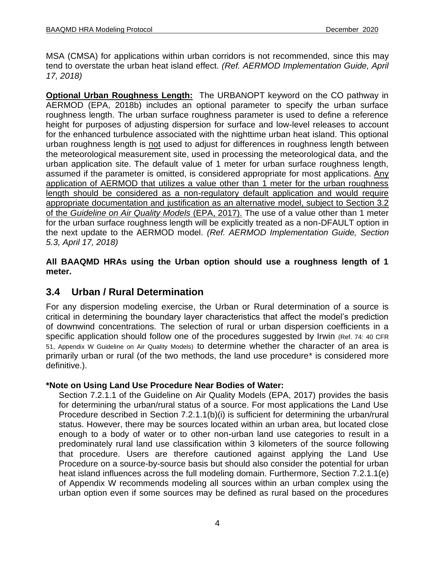MSA (CMSA) for applications within urban corridors is not recommended, since this may tend to overstate the urban heat island effect. *(Ref. AERMOD Implementation Guide, April 17, 2018)*

**Optional Urban Roughness Length:** The URBANOPT keyword on the CO pathway in AERMOD (EPA, 2018b) includes an optional parameter to specify the urban surface roughness length. The urban surface roughness parameter is used to define a reference height for purposes of adjusting dispersion for surface and low-level releases to account for the enhanced turbulence associated with the nighttime urban heat island. This optional urban roughness length is not used to adjust for differences in roughness length between the meteorological measurement site, used in processing the meteorological data, and the urban application site. The default value of 1 meter for urban surface roughness length, assumed if the parameter is omitted, is considered appropriate for most applications. Any application of AERMOD that utilizes a value other than 1 meter for the urban roughness length should be considered as a non-regulatory default application and would require appropriate documentation and justification as an alternative model, subject to Section 3.2 of the *Guideline on Air Quality Models* (EPA, 2017). The use of a value other than 1 meter for the urban surface roughness length will be explicitly treated as a non-DFAULT option in the next update to the AERMOD model. *(Ref. AERMOD Implementation Guide, Section 5.3, April 17, 2018)*

**All BAAQMD HRAs using the Urban option should use a roughness length of 1 meter.**

### **3.4 Urban / Rural Determination**

For any dispersion modeling exercise, the Urban or Rural determination of a source is critical in determining the boundary layer characteristics that affect the model's prediction of downwind concentrations. The selection of rural or urban dispersion coefficients in a specific application should follow one of the procedures suggested by Irwin (Ref. 74: 40 CFR 51, Appendix W Guideline on Air Quality Models) to determine whether the character of an area is primarily urban or rural (of the two methods, the land use procedure\* is considered more definitive.).

#### **\*Note on Using Land Use Procedure Near Bodies of Water:**

Section 7.2.1.1 of the Guideline on Air Quality Models (EPA, 2017) provides the basis for determining the urban/rural status of a source. For most applications the Land Use Procedure described in Section 7.2.1.1(b)(i) is sufficient for determining the urban/rural status. However, there may be sources located within an urban area, but located close enough to a body of water or to other non-urban land use categories to result in a predominately rural land use classification within 3 kilometers of the source following that procedure. Users are therefore cautioned against applying the Land Use Procedure on a source-by-source basis but should also consider the potential for urban heat island influences across the full modeling domain. Furthermore, Section 7.2.1.1(e) of Appendix W recommends modeling all sources within an urban complex using the urban option even if some sources may be defined as rural based on the procedures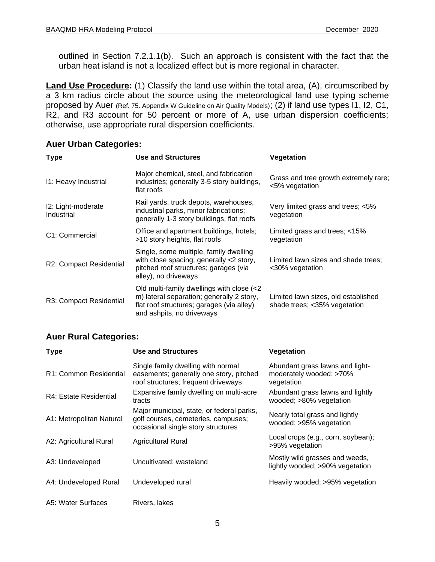outlined in Section 7.2.1.1(b). Such an approach is consistent with the fact that the urban heat island is not a localized effect but is more regional in character.

**Land Use Procedure:** (1) Classify the land use within the total area, (A), circumscribed by a 3 km radius circle about the source using the meteorological land use typing scheme proposed by Auer (Ref. 75. Appendix W Guideline on Air Quality Models); (2) if land use types 11, 12, C1, R2, and R3 account for 50 percent or more of A, use urban dispersion coefficients; otherwise, use appropriate rural dispersion coefficients.

| <b>Type</b>                      | <b>Use and Structures</b>                                                                                                                                        | Vegetation                                                          |
|----------------------------------|------------------------------------------------------------------------------------------------------------------------------------------------------------------|---------------------------------------------------------------------|
| 11: Heavy Industrial             | Major chemical, steel, and fabrication<br>industries; generally 3-5 story buildings,<br>flat roofs                                                               | Grass and tree growth extremely rare;<br><5% vegetation             |
| I2: Light-moderate<br>Industrial | Rail yards, truck depots, warehouses,<br>industrial parks, minor fabrications;<br>generally 1-3 story buildings, flat roofs                                      | Very limited grass and trees; <5%<br>vegetation                     |
| C1: Commercial                   | Office and apartment buildings, hotels;<br>>10 story heights, flat roofs                                                                                         | Limited grass and trees; <15%<br>vegetation                         |
| R2: Compact Residential          | Single, some multiple, family dwelling<br>with close spacing; generally <2 story,<br>pitched roof structures; garages (via<br>alley), no driveways               | Limited lawn sizes and shade trees:<br><30% vegetation              |
| R3: Compact Residential          | Old multi-family dwellings with close (<2<br>m) lateral separation; generally 2 story,<br>flat roof structures; garages (via alley)<br>and ashpits, no driveways | Limited lawn sizes, old established<br>shade trees; <35% vegetation |

#### **Auer Rural Categories:**

| <b>Type</b>              | <b>Use and Structures</b>                                                                                              | Vegetation                                                               |
|--------------------------|------------------------------------------------------------------------------------------------------------------------|--------------------------------------------------------------------------|
| R1: Common Residential   | Single family dwelling with normal<br>easements; generally one story, pitched<br>roof structures; frequent driveways   | Abundant grass lawns and light-<br>moderately wooded; >70%<br>vegetation |
| R4: Estate Residential   | Expansive family dwelling on multi-acre<br>tracts                                                                      | Abundant grass lawns and lightly<br>wooded; >80% vegetation              |
| A1: Metropolitan Natural | Major municipal, state, or federal parks,<br>golf courses, cemeteries, campuses;<br>occasional single story structures | Nearly total grass and lightly<br>wooded; >95% vegetation                |
| A2: Agricultural Rural   | <b>Agricultural Rural</b>                                                                                              | Local crops (e.g., corn, soybean);<br>>95% vegetation                    |
| A3: Undeveloped          | Uncultivated; wasteland                                                                                                | Mostly wild grasses and weeds,<br>lightly wooded; >90% vegetation        |
| A4: Undeveloped Rural    | Undeveloped rural                                                                                                      | Heavily wooded; >95% vegetation                                          |
| A5: Water Surfaces       | Rivers, lakes                                                                                                          |                                                                          |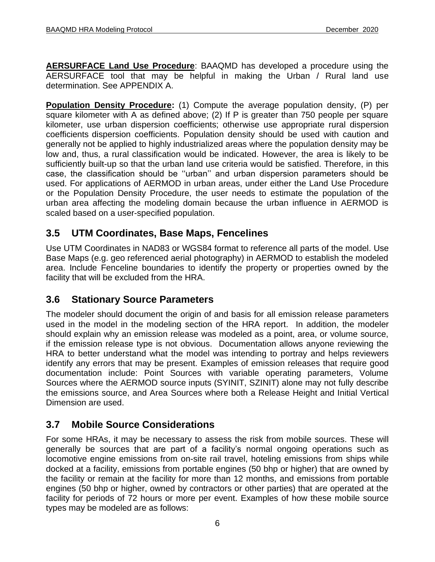**AERSURFACE Land Use Procedure**: BAAQMD has developed a procedure using the AERSURFACE tool that may be helpful in making the Urban / Rural land use determination. See APPENDIX A.

**Population Density Procedure:** (1) Compute the average population density, (P) per square kilometer with A as defined above; (2) If P is greater than 750 people per square kilometer, use urban dispersion coefficients; otherwise use appropriate rural dispersion coefficients dispersion coefficients. Population density should be used with caution and generally not be applied to highly industrialized areas where the population density may be low and, thus, a rural classification would be indicated. However, the area is likely to be sufficiently built-up so that the urban land use criteria would be satisfied. Therefore, in this case, the classification should be ''urban'' and urban dispersion parameters should be used. For applications of AERMOD in urban areas, under either the Land Use Procedure or the Population Density Procedure, the user needs to estimate the population of the urban area affecting the modeling domain because the urban influence in AERMOD is scaled based on a user-specified population.

# **3.5 UTM Coordinates, Base Maps, Fencelines**

Use UTM Coordinates in NAD83 or WGS84 format to reference all parts of the model. Use Base Maps (e.g. geo referenced aerial photography) in AERMOD to establish the modeled area. Include Fenceline boundaries to identify the property or properties owned by the facility that will be excluded from the HRA.

# **3.6 Stationary Source Parameters**

The modeler should document the origin of and basis for all emission release parameters used in the model in the modeling section of the HRA report. In addition, the modeler should explain why an emission release was modeled as a point, area, or volume source, if the emission release type is not obvious. Documentation allows anyone reviewing the HRA to better understand what the model was intending to portray and helps reviewers identify any errors that may be present. Examples of emission releases that require good documentation include: Point Sources with variable operating parameters, Volume Sources where the AERMOD source inputs (SYINIT, SZINIT) alone may not fully describe the emissions source, and Area Sources where both a Release Height and Initial Vertical Dimension are used.

# **3.7 Mobile Source Considerations**

For some HRAs, it may be necessary to assess the risk from mobile sources. These will generally be sources that are part of a facility's normal ongoing operations such as locomotive engine emissions from on-site rail travel, hoteling emissions from ships while docked at a facility, emissions from portable engines (50 bhp or higher) that are owned by the facility or remain at the facility for more than 12 months, and emissions from portable engines (50 bhp or higher, owned by contractors or other parties) that are operated at the facility for periods of 72 hours or more per event. Examples of how these mobile source types may be modeled are as follows: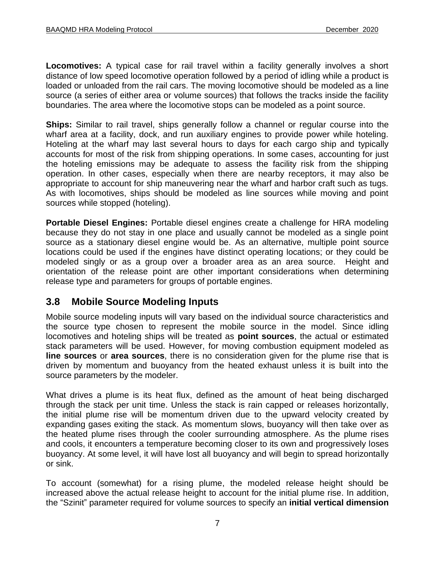**Locomotives:** A typical case for rail travel within a facility generally involves a short distance of low speed locomotive operation followed by a period of idling while a product is loaded or unloaded from the rail cars. The moving locomotive should be modeled as a line source (a series of either area or volume sources) that follows the tracks inside the facility boundaries. The area where the locomotive stops can be modeled as a point source.

**Ships:** Similar to rail travel, ships generally follow a channel or regular course into the wharf area at a facility, dock, and run auxiliary engines to provide power while hoteling. Hoteling at the wharf may last several hours to days for each cargo ship and typically accounts for most of the risk from shipping operations. In some cases, accounting for just the hoteling emissions may be adequate to assess the facility risk from the shipping operation. In other cases, especially when there are nearby receptors, it may also be appropriate to account for ship maneuvering near the wharf and harbor craft such as tugs. As with locomotives, ships should be modeled as line sources while moving and point sources while stopped (hoteling).

**Portable Diesel Engines:** Portable diesel engines create a challenge for HRA modeling because they do not stay in one place and usually cannot be modeled as a single point source as a stationary diesel engine would be. As an alternative, multiple point source locations could be used if the engines have distinct operating locations; or they could be modeled singly or as a group over a broader area as an area source. Height and orientation of the release point are other important considerations when determining release type and parameters for groups of portable engines.

### **3.8 Mobile Source Modeling Inputs**

Mobile source modeling inputs will vary based on the individual source characteristics and the source type chosen to represent the mobile source in the model. Since idling locomotives and hoteling ships will be treated as **point sources**, the actual or estimated stack parameters will be used. However, for moving combustion equipment modeled as **line sources** or **area sources**, there is no consideration given for the plume rise that is driven by momentum and buoyancy from the heated exhaust unless it is built into the source parameters by the modeler.

What drives a plume is its heat flux, defined as the amount of heat being discharged through the stack per unit time. Unless the stack is rain capped or releases horizontally, the initial plume rise will be momentum driven due to the upward velocity created by expanding gases exiting the stack. As momentum slows, buoyancy will then take over as the heated plume rises through the cooler surrounding atmosphere. As the plume rises and cools, it encounters a temperature becoming closer to its own and progressively loses buoyancy. At some level, it will have lost all buoyancy and will begin to spread horizontally or sink.

To account (somewhat) for a rising plume, the modeled release height should be increased above the actual release height to account for the initial plume rise. In addition, the "Szinit" parameter required for volume sources to specify an **initial vertical dimension**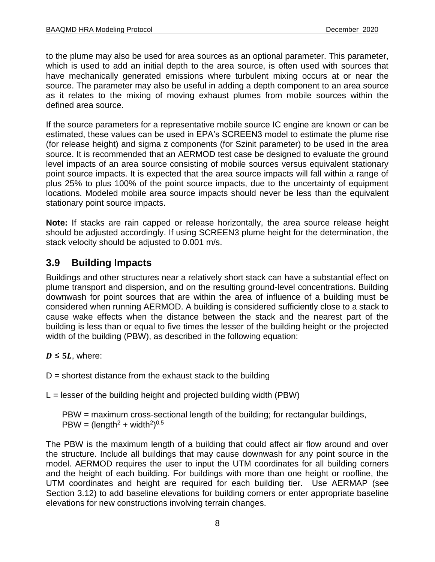to the plume may also be used for area sources as an optional parameter. This parameter, which is used to add an initial depth to the area source, is often used with sources that have mechanically generated emissions where turbulent mixing occurs at or near the source. The parameter may also be useful in adding a depth component to an area source as it relates to the mixing of moving exhaust plumes from mobile sources within the defined area source.

If the source parameters for a representative mobile source IC engine are known or can be estimated, these values can be used in EPA's SCREEN3 model to estimate the plume rise (for release height) and sigma z components (for Szinit parameter) to be used in the area source. It is recommended that an AERMOD test case be designed to evaluate the ground level impacts of an area source consisting of mobile sources versus equivalent stationary point source impacts. It is expected that the area source impacts will fall within a range of plus 25% to plus 100% of the point source impacts, due to the uncertainty of equipment locations. Modeled mobile area source impacts should never be less than the equivalent stationary point source impacts.

**Note:** If stacks are rain capped or release horizontally, the area source release height should be adjusted accordingly. If using SCREEN3 plume height for the determination, the stack velocity should be adjusted to 0.001 m/s.

# **3.9 Building Impacts**

Buildings and other structures near a relatively short stack can have a substantial effect on plume transport and dispersion, and on the resulting ground-level concentrations. Building downwash for point sources that are within the area of influence of a building must be considered when running AERMOD. A building is considered sufficiently close to a stack to cause wake effects when the distance between the stack and the nearest part of the building is less than or equal to five times the lesser of the building height or the projected width of the building (PBW), as described in the following equation:

 $D \leq 5L$ , where:

 $D =$  shortest distance from the exhaust stack to the building

 $L =$  lesser of the building height and projected building width (PBW)

PBW = maximum cross-sectional length of the building; for rectangular buildings,  $PBW = (length<sup>2</sup> + width<sup>2</sup>)<sup>0.5</sup>$ 

The PBW is the maximum length of a building that could affect air flow around and over the structure. Include all buildings that may cause downwash for any point source in the model. AERMOD requires the user to input the UTM coordinates for all building corners and the height of each building. For buildings with more than one height or roofline, the UTM coordinates and height are required for each building tier. Use AERMAP (see Section 3.12) to add baseline elevations for building corners or enter appropriate baseline elevations for new constructions involving terrain changes.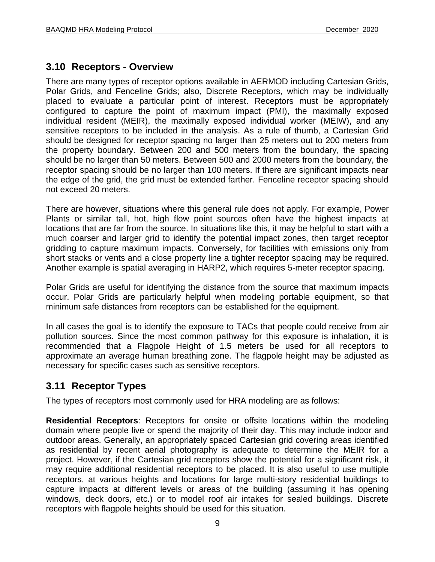### **3.10 Receptors - Overview**

There are many types of receptor options available in AERMOD including Cartesian Grids, Polar Grids, and Fenceline Grids; also, Discrete Receptors, which may be individually placed to evaluate a particular point of interest. Receptors must be appropriately configured to capture the point of maximum impact (PMI), the maximally exposed individual resident (MEIR), the maximally exposed individual worker (MEIW), and any sensitive receptors to be included in the analysis. As a rule of thumb, a Cartesian Grid should be designed for receptor spacing no larger than 25 meters out to 200 meters from the property boundary. Between 200 and 500 meters from the boundary, the spacing should be no larger than 50 meters. Between 500 and 2000 meters from the boundary, the receptor spacing should be no larger than 100 meters. If there are significant impacts near the edge of the grid, the grid must be extended farther. Fenceline receptor spacing should not exceed 20 meters.

There are however, situations where this general rule does not apply. For example, Power Plants or similar tall, hot, high flow point sources often have the highest impacts at locations that are far from the source. In situations like this, it may be helpful to start with a much coarser and larger grid to identify the potential impact zones, then target receptor gridding to capture maximum impacts. Conversely, for facilities with emissions only from short stacks or vents and a close property line a tighter receptor spacing may be required. Another example is spatial averaging in HARP2, which requires 5-meter receptor spacing.

Polar Grids are useful for identifying the distance from the source that maximum impacts occur. Polar Grids are particularly helpful when modeling portable equipment, so that minimum safe distances from receptors can be established for the equipment.

In all cases the goal is to identify the exposure to TACs that people could receive from air pollution sources. Since the most common pathway for this exposure is inhalation, it is recommended that a Flagpole Height of 1.5 meters be used for all receptors to approximate an average human breathing zone. The flagpole height may be adjusted as necessary for specific cases such as sensitive receptors.

### **3.11 Receptor Types**

The types of receptors most commonly used for HRA modeling are as follows:

**Residential Receptors**: Receptors for onsite or offsite locations within the modeling domain where people live or spend the majority of their day. This may include indoor and outdoor areas. Generally, an appropriately spaced Cartesian grid covering areas identified as residential by recent aerial photography is adequate to determine the MEIR for a project. However, if the Cartesian grid receptors show the potential for a significant risk, it may require additional residential receptors to be placed. It is also useful to use multiple receptors, at various heights and locations for large multi-story residential buildings to capture impacts at different levels or areas of the building (assuming it has opening windows, deck doors, etc.) or to model roof air intakes for sealed buildings. Discrete receptors with flagpole heights should be used for this situation.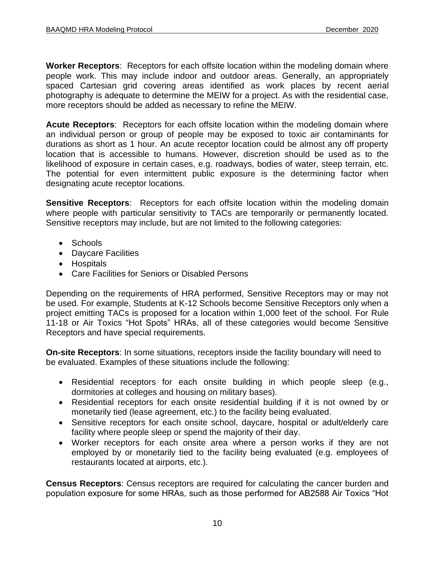**Worker Receptors**: Receptors for each offsite location within the modeling domain where people work. This may include indoor and outdoor areas. Generally, an appropriately spaced Cartesian grid covering areas identified as work places by recent aerial photography is adequate to determine the MEIW for a project. As with the residential case, more receptors should be added as necessary to refine the MEIW.

**Acute Receptors**: Receptors for each offsite location within the modeling domain where an individual person or group of people may be exposed to toxic air contaminants for durations as short as 1 hour. An acute receptor location could be almost any off property location that is accessible to humans. However, discretion should be used as to the likelihood of exposure in certain cases, e.g. roadways, bodies of water, steep terrain, etc. The potential for even intermittent public exposure is the determining factor when designating acute receptor locations.

**Sensitive Receptors:** Receptors for each offsite location within the modeling domain where people with particular sensitivity to TACs are temporarily or permanently located. Sensitive receptors may include, but are not limited to the following categories:

- Schools
- Daycare Facilities
- Hospitals
- Care Facilities for Seniors or Disabled Persons

Depending on the requirements of HRA performed, Sensitive Receptors may or may not be used. For example, Students at K-12 Schools become Sensitive Receptors only when a project emitting TACs is proposed for a location within 1,000 feet of the school. For Rule 11-18 or Air Toxics "Hot Spots" HRAs, all of these categories would become Sensitive Receptors and have special requirements.

**On-site Receptors**: In some situations, receptors inside the facility boundary will need to be evaluated. Examples of these situations include the following:

- Residential receptors for each onsite building in which people sleep (e.g., dormitories at colleges and housing on military bases).
- Residential receptors for each onsite residential building if it is not owned by or monetarily tied (lease agreement, etc.) to the facility being evaluated.
- Sensitive receptors for each onsite school, daycare, hospital or adult/elderly care facility where people sleep or spend the majority of their day.
- Worker receptors for each onsite area where a person works if they are not employed by or monetarily tied to the facility being evaluated (e.g. employees of restaurants located at airports, etc.).

**Census Receptors**: Census receptors are required for calculating the cancer burden and population exposure for some HRAs, such as those performed for AB2588 Air Toxics "Hot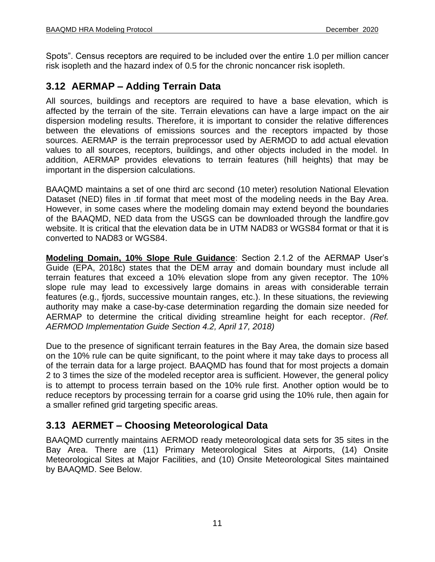Spots". Census receptors are required to be included over the entire 1.0 per million cancer risk isopleth and the hazard index of 0.5 for the chronic noncancer risk isopleth.

# **3.12 AERMAP – Adding Terrain Data**

All sources, buildings and receptors are required to have a base elevation, which is affected by the terrain of the site. Terrain elevations can have a large impact on the air dispersion modeling results. Therefore, it is important to consider the relative differences between the elevations of emissions sources and the receptors impacted by those sources. AERMAP is the terrain preprocessor used by AERMOD to add actual elevation values to all sources, receptors, buildings, and other objects included in the model. In addition, AERMAP provides elevations to terrain features (hill heights) that may be important in the dispersion calculations.

BAAQMD maintains a set of one third arc second (10 meter) resolution National Elevation Dataset (NED) files in .tif format that meet most of the modeling needs in the Bay Area. However, in some cases where the modeling domain may extend beyond the boundaries of the BAAQMD, NED data from the USGS can be downloaded through the landfire.gov website. It is critical that the elevation data be in UTM NAD83 or WGS84 format or that it is converted to NAD83 or WGS84.

**Modeling Domain, 10% Slope Rule Guidance**: Section 2.1.2 of the AERMAP User's Guide (EPA, 2018c) states that the DEM array and domain boundary must include all terrain features that exceed a 10% elevation slope from any given receptor. The 10% slope rule may lead to excessively large domains in areas with considerable terrain features (e.g., fjords, successive mountain ranges, etc.). In these situations, the reviewing authority may make a case-by-case determination regarding the domain size needed for AERMAP to determine the critical dividing streamline height for each receptor. *(Ref. AERMOD Implementation Guide Section 4.2, April 17, 2018)*

Due to the presence of significant terrain features in the Bay Area, the domain size based on the 10% rule can be quite significant, to the point where it may take days to process all of the terrain data for a large project. BAAQMD has found that for most projects a domain 2 to 3 times the size of the modeled receptor area is sufficient. However, the general policy is to attempt to process terrain based on the 10% rule first. Another option would be to reduce receptors by processing terrain for a coarse grid using the 10% rule, then again for a smaller refined grid targeting specific areas.

# **3.13 AERMET – Choosing Meteorological Data**

BAAQMD currently maintains AERMOD ready meteorological data sets for 35 sites in the Bay Area. There are (11) Primary Meteorological Sites at Airports, (14) Onsite Meteorological Sites at Major Facilities, and (10) Onsite Meteorological Sites maintained by BAAQMD. See Below.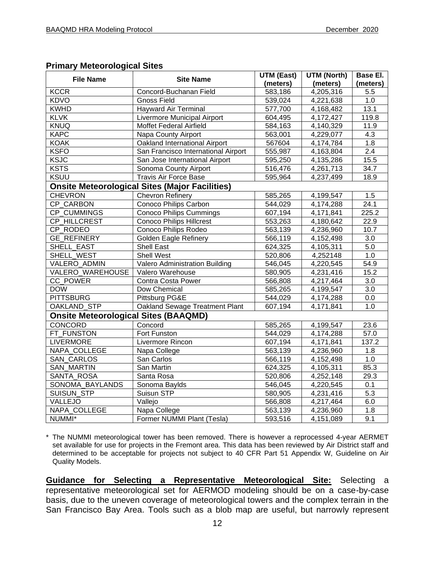#### **Primary Meteorological Sites**

| <b>File Name</b>                            | <b>Site Name</b>                                      | <b>UTM (East)</b> | <b>UTM (North)</b> | Base El. |
|---------------------------------------------|-------------------------------------------------------|-------------------|--------------------|----------|
|                                             |                                                       | (meters)          | (meters)           | (meters) |
| <b>KCCR</b>                                 | Concord-Buchanan Field                                | 583,186           | 4,205,316          | 5.5      |
| <b>KDVO</b>                                 | <b>Gnoss Field</b>                                    | 539,024           | 4,221,638          | 1.0      |
| <b>KWHD</b>                                 | <b>Hayward Air Terminal</b>                           | 577,700           | 4,168,482          | 13.1     |
| <b>KLVK</b>                                 | Livermore Municipal Airport                           | 604,495           | 4,172,427          | 119.8    |
| <b>KNUQ</b>                                 | Moffet Federal Airfield                               | 584,163           | 4,140,329          | 11.9     |
| <b>KAPC</b>                                 | Napa County Airport                                   | 563,001           | 4,229,077          | 4.3      |
| <b>KOAK</b>                                 | Oakland International Airport                         | 567604            | 4,174,784          | 1.8      |
| <b>KSFO</b>                                 | San Francisco International Airport                   | 555,987           | 4,163,804          | 2.4      |
| <b>KSJC</b>                                 | San Jose International Airport                        | 595,250           | 4,135,286          | 15.5     |
| <b>KSTS</b>                                 | Sonoma County Airport                                 | 516,476           | 4,261,713          | 34.7     |
| <b>KSUU</b>                                 | <b>Travis Air Force Base</b>                          | 595,964           | 4,237,499          | 18.9     |
|                                             | <b>Onsite Meteorological Sites (Major Facilities)</b> |                   |                    |          |
| <b>CHEVRON</b>                              | <b>Chevron Refinery</b>                               | 585,265           | 4,199,547          | 1.5      |
| CP CARBON                                   | Conoco Philips Carbon                                 | 544,029           | 4,174,288          | 24.1     |
| CP_CUMMINGS                                 | <b>Conoco Philips Cummings</b>                        | 607,194           | 4,171,841          | 225.2    |
| CP HILLCREST                                | Conoco Philips Hillcrest                              | 553,263           | 4,180,642          | 22.9     |
| CP RODEO                                    | Conoco Philips Rodeo                                  | 563,139           | 4,236,960          | 10.7     |
| <b>GE_REFINERY</b>                          | <b>Golden Eagle Refinery</b>                          | 566,119           | 4,152,498          | 3.0      |
| SHELL_EAST                                  | Shell East                                            | 624,325           | 4,105,311          | 5.0      |
| SHELL_WEST                                  | <b>Shell West</b>                                     | 520,806           | 4,252148           | 1.0      |
| VALERO_ADMIN                                | Valero Administration Building                        | 546,045           | 4,220,545          | 54.9     |
| VALERO WAREHOUSE                            | Valero Warehouse                                      | 580,905           | 4,231,416          | 15.2     |
| CC POWER                                    | Contra Costa Power                                    | 566,808           | 4,217,464          | 3.0      |
| <b>DOW</b>                                  | Dow Chemical                                          | 585,265           | 4,199,547          | 3.0      |
| <b>PITTSBURG</b>                            | Pittsburg PG&E                                        | 544,029           | 4,174,288          | 0.0      |
| OAKLAND_STP                                 | Oakland Sewage Treatment Plant                        | 607,194           | 4,171,841          | 1.0      |
| <b>Onsite Meteorological Sites (BAAQMD)</b> |                                                       |                   |                    |          |
| CONCORD                                     | Concord                                               | 585,265           | 4,199,547          | 23.6     |
| FT FUNSTON                                  | Fort Funston                                          | 544,029           | 4,174,288          | 57.0     |
| <b>LIVERMORE</b>                            | Livermore Rincon                                      | 607,194           | 4,171,841          | 137.2    |
| NAPA COLLEGE                                | Napa College                                          | 563,139           | 4,236,960          | 1.8      |
| SAN_CARLOS                                  | San Carlos                                            | 566,119           | 4,152,498          | 1.0      |
| SAN_MARTIN                                  | San Martin                                            | 624,325           | 4,105,311          | 85.3     |
| SANTA ROSA                                  | Santa Rosa                                            | 520,806           | 4,252,148          | 29.3     |
| SONOMA BAYLANDS                             | Sonoma Baylds                                         | 546,045           | 4,220,545          | 0.1      |
| SUISUN_STP                                  | Suisun STP                                            | 580,905           | 4,231,416          | 5.3      |
| VALLEJO                                     | Vallejo                                               | 566,808           | 4,217,464          | 6.0      |
| NAPA_COLLEGE                                | Napa College                                          | 563,139           | 4,236,960          | 1.8      |
| NUMMI*                                      | Former NUMMI Plant (Tesla)                            | 593,516           | 4,151,089          | 9.1      |

\* The NUMMI meteorological tower has been removed. There is however a reprocessed 4-year AERMET set available for use for projects in the Fremont area. This data has been reviewed by Air District staff and determined to be acceptable for projects not subject to 40 CFR Part 51 Appendix W, Guideline on Air Quality Models.

**Guidance for Selecting a Representative Meteorological Site:** Selecting a representative meteorological set for AERMOD modeling should be on a case-by-case basis, due to the uneven coverage of meteorological towers and the complex terrain in the San Francisco Bay Area. Tools such as a blob map are useful, but narrowly represent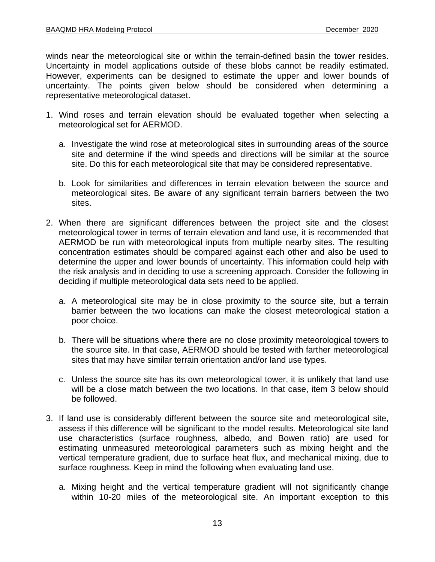winds near the meteorological site or within the terrain-defined basin the tower resides. Uncertainty in model applications outside of these blobs cannot be readily estimated. However, experiments can be designed to estimate the upper and lower bounds of uncertainty. The points given below should be considered when determining a representative meteorological dataset.

- 1. Wind roses and terrain elevation should be evaluated together when selecting a meteorological set for AERMOD.
	- a. Investigate the wind rose at meteorological sites in surrounding areas of the source site and determine if the wind speeds and directions will be similar at the source site. Do this for each meteorological site that may be considered representative.
	- b. Look for similarities and differences in terrain elevation between the source and meteorological sites. Be aware of any significant terrain barriers between the two sites.
- 2. When there are significant differences between the project site and the closest meteorological tower in terms of terrain elevation and land use, it is recommended that AERMOD be run with meteorological inputs from multiple nearby sites. The resulting concentration estimates should be compared against each other and also be used to determine the upper and lower bounds of uncertainty. This information could help with the risk analysis and in deciding to use a screening approach. Consider the following in deciding if multiple meteorological data sets need to be applied.
	- a. A meteorological site may be in close proximity to the source site, but a terrain barrier between the two locations can make the closest meteorological station a poor choice.
	- b. There will be situations where there are no close proximity meteorological towers to the source site. In that case, AERMOD should be tested with farther meteorological sites that may have similar terrain orientation and/or land use types.
	- c. Unless the source site has its own meteorological tower, it is unlikely that land use will be a close match between the two locations. In that case, item 3 below should be followed.
- 3. If land use is considerably different between the source site and meteorological site, assess if this difference will be significant to the model results. Meteorological site land use characteristics (surface roughness, albedo, and Bowen ratio) are used for estimating unmeasured meteorological parameters such as mixing height and the vertical temperature gradient, due to surface heat flux, and mechanical mixing, due to surface roughness. Keep in mind the following when evaluating land use.
	- a. Mixing height and the vertical temperature gradient will not significantly change within 10-20 miles of the meteorological site. An important exception to this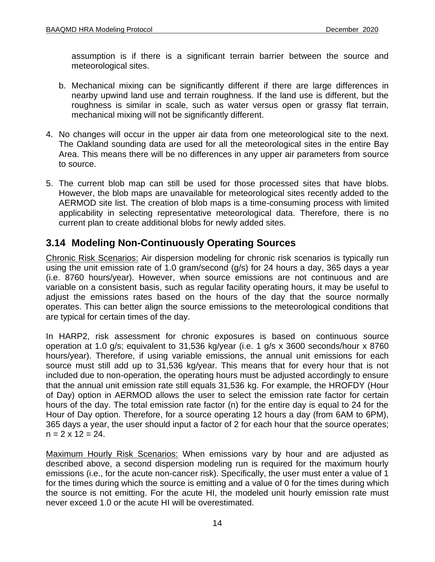assumption is if there is a significant terrain barrier between the source and meteorological sites.

- b. Mechanical mixing can be significantly different if there are large differences in nearby upwind land use and terrain roughness. If the land use is different, but the roughness is similar in scale, such as water versus open or grassy flat terrain, mechanical mixing will not be significantly different.
- 4. No changes will occur in the upper air data from one meteorological site to the next. The Oakland sounding data are used for all the meteorological sites in the entire Bay Area. This means there will be no differences in any upper air parameters from source to source.
- 5. The current blob map can still be used for those processed sites that have blobs. However, the blob maps are unavailable for meteorological sites recently added to the AERMOD site list. The creation of blob maps is a time-consuming process with limited applicability in selecting representative meteorological data. Therefore, there is no current plan to create additional blobs for newly added sites.

### **3.14 Modeling Non-Continuously Operating Sources**

Chronic Risk Scenarios: Air dispersion modeling for chronic risk scenarios is typically run using the unit emission rate of 1.0 gram/second (g/s) for 24 hours a day, 365 days a year (i.e. 8760 hours/year). However, when source emissions are not continuous and are variable on a consistent basis, such as regular facility operating hours, it may be useful to adjust the emissions rates based on the hours of the day that the source normally operates. This can better align the source emissions to the meteorological conditions that are typical for certain times of the day.

In HARP2, risk assessment for chronic exposures is based on continuous source operation at 1.0 g/s; equivalent to 31,536 kg/year (i.e. 1 g/s x 3600 seconds/hour x 8760 hours/year). Therefore, if using variable emissions, the annual unit emissions for each source must still add up to 31,536 kg/year. This means that for every hour that is not included due to non-operation, the operating hours must be adjusted accordingly to ensure that the annual unit emission rate still equals 31,536 kg. For example, the HROFDY (Hour of Day) option in AERMOD allows the user to select the emission rate factor for certain hours of the day. The total emission rate factor (n) for the entire day is equal to 24 for the Hour of Day option. Therefore, for a source operating 12 hours a day (from 6AM to 6PM), 365 days a year, the user should input a factor of 2 for each hour that the source operates;  $n = 2 \times 12 = 24$ .

Maximum Hourly Risk Scenarios: When emissions vary by hour and are adjusted as described above, a second dispersion modeling run is required for the maximum hourly emissions (i.e., for the acute non-cancer risk). Specifically, the user must enter a value of 1 for the times during which the source is emitting and a value of 0 for the times during which the source is not emitting. For the acute HI, the modeled unit hourly emission rate must never exceed 1.0 or the acute HI will be overestimated.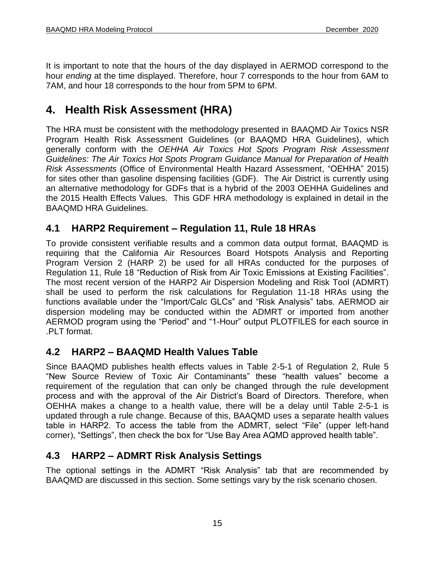It is important to note that the hours of the day displayed in AERMOD correspond to the hour *ending* at the time displayed. Therefore, hour 7 corresponds to the hour from 6AM to 7AM, and hour 18 corresponds to the hour from 5PM to 6PM.

# <span id="page-16-0"></span>**4. Health Risk Assessment (HRA)**

The HRA must be consistent with the methodology presented in BAAQMD Air Toxics NSR Program Health Risk Assessment Guidelines (or BAAQMD HRA Guidelines), which generally conform with the *OEHHA Air Toxics Hot Spots Program Risk Assessment Guidelines: The Air Toxics Hot Spots Program Guidance Manual for Preparation of Health Risk Assessments* (Office of Environmental Health Hazard Assessment, "OEHHA" 2015) for sites other than gasoline dispensing facilities (GDF). The Air District is currently using an alternative methodology for GDFs that is a hybrid of the 2003 OEHHA Guidelines and the 2015 Health Effects Values. This GDF HRA methodology is explained in detail in the BAAQMD HRA Guidelines.

# **4.1 HARP2 Requirement – Regulation 11, Rule 18 HRAs**

To provide consistent verifiable results and a common data output format, BAAQMD is requiring that the California Air Resources Board Hotspots Analysis and Reporting Program Version 2 (HARP 2) be used for all HRAs conducted for the purposes of Regulation 11, Rule 18 "Reduction of Risk from Air Toxic Emissions at Existing Facilities". The most recent version of the HARP2 Air Dispersion Modeling and Risk Tool (ADMRT) shall be used to perform the risk calculations for Regulation 11-18 HRAs using the functions available under the "Import/Calc GLCs" and "Risk Analysis" tabs. AERMOD air dispersion modeling may be conducted within the ADMRT or imported from another AERMOD program using the "Period" and "1-Hour" output PLOTFILES for each source in .PLT format.

# **4.2 HARP2 – BAAQMD Health Values Table**

Since BAAQMD publishes health effects values in Table 2-5-1 of Regulation 2, Rule 5 "New Source Review of Toxic Air Contaminants" these "health values" become a requirement of the regulation that can only be changed through the rule development process and with the approval of the Air District's Board of Directors. Therefore, when OEHHA makes a change to a health value, there will be a delay until Table 2-5-1 is updated through a rule change. Because of this, BAAQMD uses a separate health values table in HARP2. To access the table from the ADMRT, select "File" (upper left-hand corner), "Settings", then check the box for "Use Bay Area AQMD approved health table".

# **4.3 HARP2 – ADMRT Risk Analysis Settings**

The optional settings in the ADMRT "Risk Analysis" tab that are recommended by BAAQMD are discussed in this section. Some settings vary by the risk scenario chosen.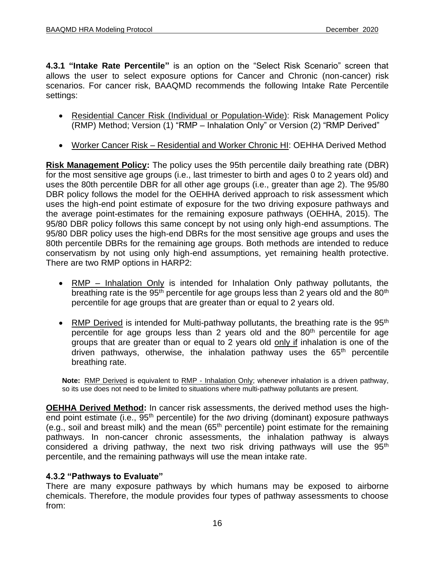**4.3.1 "Intake Rate Percentile"** is an option on the "Select Risk Scenario" screen that allows the user to select exposure options for Cancer and Chronic (non-cancer) risk scenarios. For cancer risk, BAAQMD recommends the following Intake Rate Percentile settings:

- Residential Cancer Risk (Individual or Population-Wide): Risk Management Policy (RMP) Method; Version (1) "RMP – Inhalation Only" or Version (2) "RMP Derived"
- Worker Cancer Risk Residential and Worker Chronic HI: OEHHA Derived Method

**Risk Management Policy:** The policy uses the 95th percentile daily breathing rate (DBR) for the most sensitive age groups (i.e., last trimester to birth and ages 0 to 2 years old) and uses the 80th percentile DBR for all other age groups (i.e., greater than age 2). The 95/80 DBR policy follows the model for the OEHHA derived approach to risk assessment which uses the high-end point estimate of exposure for the two driving exposure pathways and the average point-estimates for the remaining exposure pathways (OEHHA, 2015). The 95/80 DBR policy follows this same concept by not using only high-end assumptions. The 95/80 DBR policy uses the high-end DBRs for the most sensitive age groups and uses the 80th percentile DBRs for the remaining age groups. Both methods are intended to reduce conservatism by not using only high-end assumptions, yet remaining health protective. There are two RMP options in HARP2:

- RMP Inhalation Only is intended for Inhalation Only pathway pollutants, the breathing rate is the  $95<sup>th</sup>$  percentile for age groups less than 2 years old and the  $80<sup>th</sup>$ percentile for age groups that are greater than or equal to 2 years old.
- RMP Derived is intended for Multi-pathway pollutants, the breathing rate is the  $95<sup>th</sup>$ percentile for age groups less than 2 years old and the  $80<sup>th</sup>$  percentile for age groups that are greater than or equal to 2 years old only if inhalation is one of the driven pathways, otherwise, the inhalation pathway uses the 65<sup>th</sup> percentile breathing rate.

**Note:** RMP Derived is equivalent to RMP - Inhalation Only; whenever inhalation is a driven pathway, so its use does not need to be limited to situations where multi-pathway pollutants are present.

**OEHHA Derived Method:** In cancer risk assessments, the derived method uses the highend point estimate (i.e., 95<sup>th</sup> percentile) for the *two* driving (dominant) exposure pathways (e.g., soil and breast milk) and the mean (65th percentile) point estimate for the remaining pathways. In non-cancer chronic assessments, the inhalation pathway is always considered a driving pathway, the next two risk driving pathways will use the  $95<sup>th</sup>$ percentile, and the remaining pathways will use the mean intake rate.

#### **4.3.2 "Pathways to Evaluate"**

There are many exposure pathways by which humans may be exposed to airborne chemicals. Therefore, the module provides four types of pathway assessments to choose from: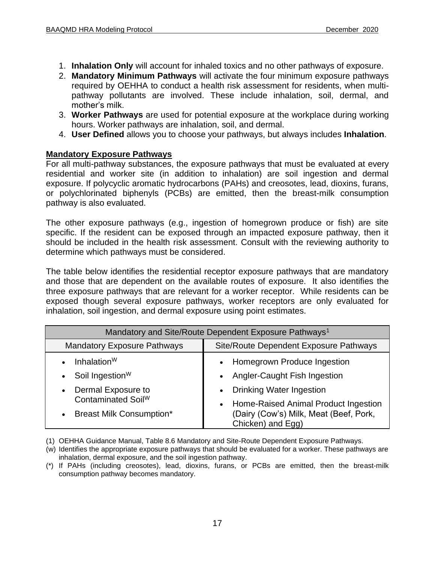- 1. **Inhalation Only** will account for inhaled toxics and no other pathways of exposure.
- 2. **Mandatory Minimum Pathways** will activate the four minimum exposure pathways required by OEHHA to conduct a health risk assessment for residents, when multipathway pollutants are involved. These include inhalation, soil, dermal, and mother's milk.
- 3. **Worker Pathways** are used for potential exposure at the workplace during working hours. Worker pathways are inhalation, soil, and dermal.
- 4. **User Defined** allows you to choose your pathways, but always includes **Inhalation**.

#### **Mandatory Exposure Pathways**

For all multi-pathway substances, the exposure pathways that must be evaluated at every residential and worker site (in addition to inhalation) are soil ingestion and dermal exposure. If polycyclic aromatic hydrocarbons (PAHs) and creosotes, lead, dioxins, furans, or polychlorinated biphenyls (PCBs) are emitted, then the breast-milk consumption pathway is also evaluated.

The other exposure pathways (e.g., ingestion of homegrown produce or fish) are site specific. If the resident can be exposed through an impacted exposure pathway, then it should be included in the health risk assessment. Consult with the reviewing authority to determine which pathways must be considered.

The table below identifies the residential receptor exposure pathways that are mandatory and those that are dependent on the available routes of exposure. It also identifies the three exposure pathways that are relevant for a worker receptor. While residents can be exposed though several exposure pathways, worker receptors are only evaluated for inhalation, soil ingestion, and dermal exposure using point estimates.

| Mandatory and Site/Route Dependent Exposure Pathways <sup>1</sup> |                                                             |  |  |  |  |  |  |  |  |
|-------------------------------------------------------------------|-------------------------------------------------------------|--|--|--|--|--|--|--|--|
| <b>Mandatory Exposure Pathways</b>                                | Site/Route Dependent Exposure Pathways                      |  |  |  |  |  |  |  |  |
| Inhalation $W$                                                    | Homegrown Produce Ingestion                                 |  |  |  |  |  |  |  |  |
| Soil Ingestion <sup>W</sup><br>$\bullet$                          | Angler-Caught Fish Ingestion                                |  |  |  |  |  |  |  |  |
| Dermal Exposure to<br>$\bullet$                                   | <b>Drinking Water Ingestion</b>                             |  |  |  |  |  |  |  |  |
| Contaminated Soil <sup>W</sup>                                    | Home-Raised Animal Product Ingestion                        |  |  |  |  |  |  |  |  |
| <b>Breast Milk Consumption*</b><br>$\bullet$                      | (Dairy (Cow's) Milk, Meat (Beef, Pork,<br>Chicken) and Egg) |  |  |  |  |  |  |  |  |

(1) OEHHA Guidance Manual, Table 8.6 Mandatory and Site-Route Dependent Exposure Pathways.

<sup>(</sup>w) Identifies the appropriate exposure pathways that should be evaluated for a worker. These pathways are inhalation, dermal exposure, and the soil ingestion pathway.

<sup>(\*)</sup> If PAHs (including creosotes), lead, dioxins, furans, or PCBs are emitted, then the breast-milk consumption pathway becomes mandatory.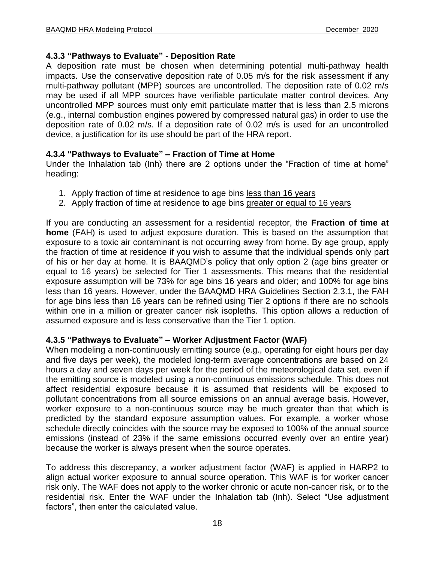#### **4.3.3 "Pathways to Evaluate" - Deposition Rate**

A deposition rate must be chosen when determining potential multi-pathway health impacts. Use the conservative deposition rate of 0.05 m/s for the risk assessment if any multi-pathway pollutant (MPP) sources are uncontrolled. The deposition rate of 0.02 m/s may be used if all MPP sources have verifiable particulate matter control devices. Any uncontrolled MPP sources must only emit particulate matter that is less than 2.5 microns (e.g., internal combustion engines powered by compressed natural gas) in order to use the deposition rate of 0.02 m/s. If a deposition rate of 0.02 m/s is used for an uncontrolled device, a justification for its use should be part of the HRA report.

#### **4.3.4 "Pathways to Evaluate" – Fraction of Time at Home**

Under the Inhalation tab (Inh) there are 2 options under the "Fraction of time at home" heading:

- 1. Apply fraction of time at residence to age bins less than 16 years
- 2. Apply fraction of time at residence to age bins greater or equal to 16 years

If you are conducting an assessment for a residential receptor, the **Fraction of time at home** (FAH) is used to adjust exposure duration. This is based on the assumption that exposure to a toxic air contaminant is not occurring away from home. By age group, apply the fraction of time at residence if you wish to assume that the individual spends only part of his or her day at home. It is BAAQMD's policy that only option 2 (age bins greater or equal to 16 years) be selected for Tier 1 assessments. This means that the residential exposure assumption will be 73% for age bins 16 years and older; and 100% for age bins less than 16 years. However, under the BAAQMD HRA Guidelines Section 2.3.1, the FAH for age bins less than 16 years can be refined using Tier 2 options if there are no schools within one in a million or greater cancer risk isopleths. This option allows a reduction of assumed exposure and is less conservative than the Tier 1 option.

#### **4.3.5 "Pathways to Evaluate" – Worker Adjustment Factor (WAF)**

When modeling a non-continuously emitting source (e.g., operating for eight hours per day and five days per week), the modeled long-term average concentrations are based on 24 hours a day and seven days per week for the period of the meteorological data set, even if the emitting source is modeled using a non-continuous emissions schedule. This does not affect residential exposure because it is assumed that residents will be exposed to pollutant concentrations from all source emissions on an annual average basis. However, worker exposure to a non-continuous source may be much greater than that which is predicted by the standard exposure assumption values. For example, a worker whose schedule directly coincides with the source may be exposed to 100% of the annual source emissions (instead of 23% if the same emissions occurred evenly over an entire year) because the worker is always present when the source operates.

To address this discrepancy, a worker adjustment factor (WAF) is applied in HARP2 to align actual worker exposure to annual source operation. This WAF is for worker cancer risk only. The WAF does not apply to the worker chronic or acute non-cancer risk, or to the residential risk. Enter the WAF under the Inhalation tab (Inh). Select "Use adjustment factors", then enter the calculated value.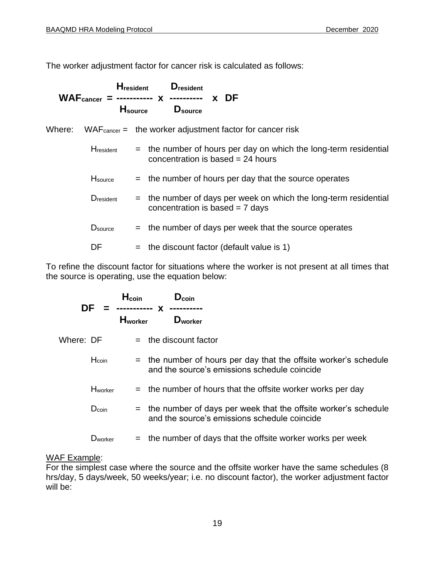The worker adjustment factor for cancer risk is calculated as follows:

| <b>H</b> <sub>resident</sub> | $H_{\rm source}$ | <b>D</b> resident<br>$WAFcancer = $ ----------- x --------- x DF<br>D <sub>source</sub>                   |
|------------------------------|------------------|-----------------------------------------------------------------------------------------------------------|
|                              |                  | Where: $\blacksquare$ WAF $_{\text{cancer}} = \blacksquare$ the worker adjustment factor for cancer risk  |
| <b>H</b> resident            |                  | $=$ the number of hours per day on which the long-term residential<br>concentration is based $= 24$ hours |
| H <sub>source</sub>          |                  | $=$ the number of hours per day that the source operates                                                  |
| Dresident                    |                  | $=$ the number of days per week on which the long-term residential<br>concentration is based $= 7$ days   |
| D <sub>source</sub>          |                  | $=$ the number of days per week that the source operates                                                  |
| DF                           |                  | $=$ the discount factor (default value is 1)                                                              |

To refine the discount factor for situations where the worker is not present at all times that the source is operating, use the equation below:

|           | DF                | H <sub>coin</sub><br>----------- <b>X</b><br><b>H</b> worker | $D_{\rm coin}$<br><b>D</b> worker                                                                                  |
|-----------|-------------------|--------------------------------------------------------------|--------------------------------------------------------------------------------------------------------------------|
| Where: DF |                   |                                                              | $=$ the discount factor                                                                                            |
|           | Hcoin             |                                                              | $=$ the number of hours per day that the offsite worker's schedule<br>and the source's emissions schedule coincide |
|           | Hworker           |                                                              | $=$ the number of hours that the offsite worker works per day                                                      |
|           | D <sub>coin</sub> |                                                              | $=$ the number of days per week that the offsite worker's schedule<br>and the source's emissions schedule coincide |
|           | <b>D</b> worker   |                                                              | $=$ the number of days that the offsite worker works per week                                                      |

#### WAF Example:

For the simplest case where the source and the offsite worker have the same schedules (8 hrs/day, 5 days/week, 50 weeks/year; i.e. no discount factor), the worker adjustment factor will be: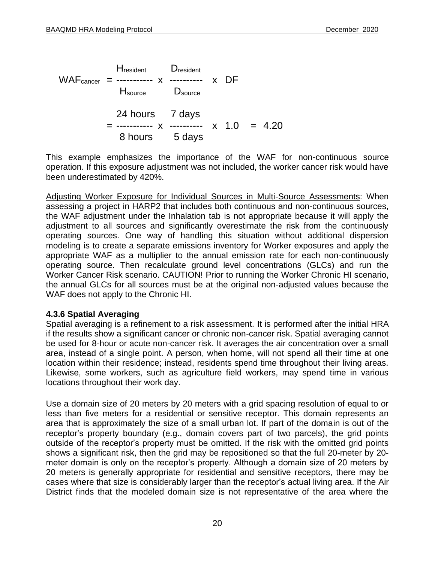Hresident Dresident WAFcancer = ----------- x ---------- x DF Hsource Dsource 24 hours 7 days  $=$  ---------- x ---------- x 1.0 = 4.20 8 hours 5 days

This example emphasizes the importance of the WAF for non-continuous source operation. If this exposure adjustment was not included, the worker cancer risk would have been underestimated by 420%.

Adjusting Worker Exposure for Individual Sources in Multi-Source Assessments: When assessing a project in HARP2 that includes both continuous and non-continuous sources, the WAF adjustment under the Inhalation tab is not appropriate because it will apply the adjustment to all sources and significantly overestimate the risk from the continuously operating sources. One way of handling this situation without additional dispersion modeling is to create a separate emissions inventory for Worker exposures and apply the appropriate WAF as a multiplier to the annual emission rate for each non-continuously operating source. Then recalculate ground level concentrations (GLCs) and run the Worker Cancer Risk scenario. CAUTION! Prior to running the Worker Chronic HI scenario, the annual GLCs for all sources must be at the original non-adjusted values because the WAF does not apply to the Chronic HI.

#### **4.3.6 Spatial Averaging**

Spatial averaging is a refinement to a risk assessment. It is performed after the initial HRA if the results show a significant cancer or chronic non-cancer risk. Spatial averaging cannot be used for 8-hour or acute non-cancer risk. It averages the air concentration over a small area, instead of a single point. A person, when home, will not spend all their time at one location within their residence; instead, residents spend time throughout their living areas. Likewise, some workers, such as agriculture field workers, may spend time in various locations throughout their work day.

Use a domain size of 20 meters by 20 meters with a grid spacing resolution of equal to or less than five meters for a residential or sensitive receptor. This domain represents an area that is approximately the size of a small urban lot. If part of the domain is out of the receptor's property boundary (e.g., domain covers part of two parcels), the grid points outside of the receptor's property must be omitted. If the risk with the omitted grid points shows a significant risk, then the grid may be repositioned so that the full 20-meter by 20 meter domain is only on the receptor's property. Although a domain size of 20 meters by 20 meters is generally appropriate for residential and sensitive receptors, there may be cases where that size is considerably larger than the receptor's actual living area. If the Air District finds that the modeled domain size is not representative of the area where the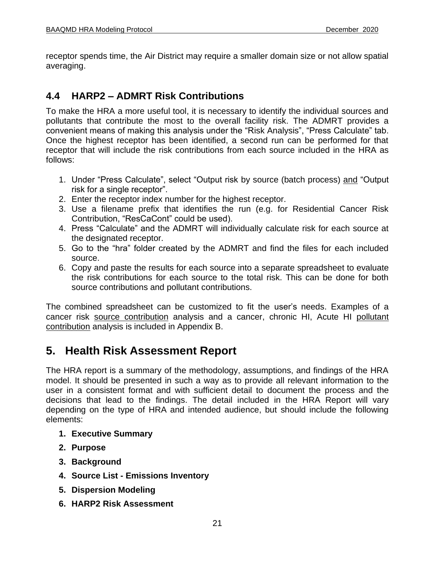receptor spends time, the Air District may require a smaller domain size or not allow spatial averaging.

# **4.4 HARP2 – ADMRT Risk Contributions**

To make the HRA a more useful tool, it is necessary to identify the individual sources and pollutants that contribute the most to the overall facility risk. The ADMRT provides a convenient means of making this analysis under the "Risk Analysis", "Press Calculate" tab. Once the highest receptor has been identified, a second run can be performed for that receptor that will include the risk contributions from each source included in the HRA as follows:

- 1. Under "Press Calculate", select "Output risk by source (batch process) and "Output risk for a single receptor".
- 2. Enter the receptor index number for the highest receptor.
- 3. Use a filename prefix that identifies the run (e.g. for Residential Cancer Risk Contribution, "ResCaCont" could be used).
- 4. Press "Calculate" and the ADMRT will individually calculate risk for each source at the designated receptor.
- 5. Go to the "hra" folder created by the ADMRT and find the files for each included source.
- 6. Copy and paste the results for each source into a separate spreadsheet to evaluate the risk contributions for each source to the total risk. This can be done for both source contributions and pollutant contributions.

The combined spreadsheet can be customized to fit the user's needs. Examples of a cancer risk source contribution analysis and a cancer, chronic HI, Acute HI pollutant contribution analysis is included in Appendix B.

# <span id="page-22-0"></span>**5. Health Risk Assessment Report**

The HRA report is a summary of the methodology, assumptions, and findings of the HRA model. It should be presented in such a way as to provide all relevant information to the user in a consistent format and with sufficient detail to document the process and the decisions that lead to the findings. The detail included in the HRA Report will vary depending on the type of HRA and intended audience, but should include the following elements:

- **1. Executive Summary**
- **2. Purpose**
- **3. Background**
- **4. Source List - Emissions Inventory**
- **5. Dispersion Modeling**
- **6. HARP2 Risk Assessment**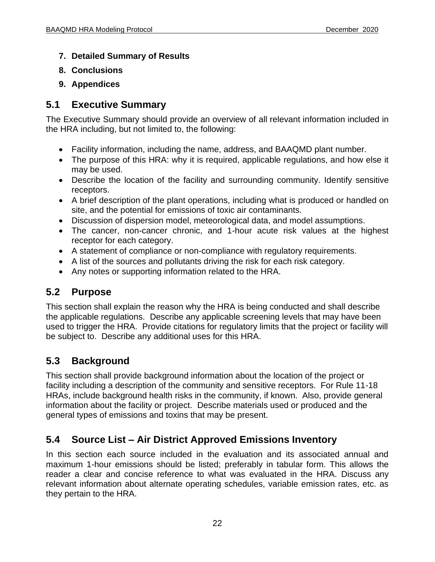- **7. Detailed Summary of Results**
- **8. Conclusions**
- **9. Appendices**

### **5.1 Executive Summary**

The Executive Summary should provide an overview of all relevant information included in the HRA including, but not limited to, the following:

- Facility information, including the name, address, and BAAQMD plant number.
- The purpose of this HRA: why it is required, applicable regulations, and how else it may be used.
- Describe the location of the facility and surrounding community. Identify sensitive receptors.
- A brief description of the plant operations, including what is produced or handled on site, and the potential for emissions of toxic air contaminants.
- Discussion of dispersion model, meteorological data, and model assumptions.
- The cancer, non-cancer chronic, and 1-hour acute risk values at the highest receptor for each category.
- A statement of compliance or non-compliance with regulatory requirements.
- A list of the sources and pollutants driving the risk for each risk category.
- Any notes or supporting information related to the HRA.

### **5.2 Purpose**

This section shall explain the reason why the HRA is being conducted and shall describe the applicable regulations. Describe any applicable screening levels that may have been used to trigger the HRA. Provide citations for regulatory limits that the project or facility will be subject to. Describe any additional uses for this HRA.

### **5.3 Background**

This section shall provide background information about the location of the project or facility including a description of the community and sensitive receptors. For Rule 11-18 HRAs, include background health risks in the community, if known. Also, provide general information about the facility or project. Describe materials used or produced and the general types of emissions and toxins that may be present.

# **5.4 Source List – Air District Approved Emissions Inventory**

In this section each source included in the evaluation and its associated annual and maximum 1-hour emissions should be listed; preferably in tabular form. This allows the reader a clear and concise reference to what was evaluated in the HRA. Discuss any relevant information about alternate operating schedules, variable emission rates, etc. as they pertain to the HRA.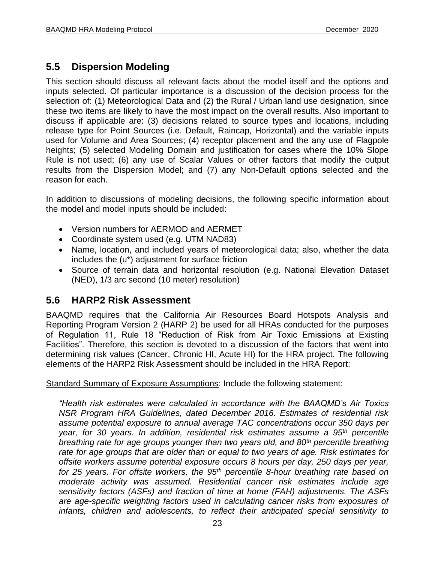# **5.5 Dispersion Modeling**

This section should discuss all relevant facts about the model itself and the options and inputs selected. Of particular importance is a discussion of the decision process for the selection of: (1) Meteorological Data and (2) the Rural / Urban land use designation, since these two items are likely to have the most impact on the overall results. Also important to discuss if applicable are: (3) decisions related to source types and locations, including release type for Point Sources (i.e. Default, Raincap, Horizontal) and the variable inputs used for Volume and Area Sources; (4) receptor placement and the any use of Flagpole heights; (5) selected Modeling Domain and justification for cases where the 10% Slope Rule is not used; (6) any use of Scalar Values or other factors that modify the output results from the Dispersion Model; and (7) any Non-Default options selected and the reason for each.

In addition to discussions of modeling decisions, the following specific information about the model and model inputs should be included:

- Version numbers for AERMOD and AERMET
- Coordinate system used (e.g. UTM NAD83)
- Name, location, and included years of meteorological data; also, whether the data includes the (u\*) adjustment for surface friction
- Source of terrain data and horizontal resolution (e.g. National Elevation Dataset (NED), 1/3 arc second (10 meter) resolution)

### **5.6 HARP2 Risk Assessment**

BAAQMD requires that the California Air Resources Board Hotspots Analysis and Reporting Program Version 2 (HARP 2) be used for all HRAs conducted for the purposes of Regulation 11, Rule 18 "Reduction of Risk from Air Toxic Emissions at Existing Facilities". Therefore, this section is devoted to a discussion of the factors that went into determining risk values (Cancer, Chronic HI, Acute HI) for the HRA project. The following elements of the HARP2 Risk Assessment should be included in the HRA Report:

Standard Summary of Exposure Assumptions: Include the following statement:

*"Health risk estimates were calculated in accordance with the BAAQMD's Air Toxics NSR Program HRA Guidelines, dated December 2016. Estimates of residential risk assume potential exposure to annual average TAC concentrations occur 350 days per year, for 30 years. In addition, residential risk estimates assume a 95th percentile breathing rate for age groups younger than two years old, and 80th percentile breathing rate for age groups that are older than or equal to two years of age. Risk estimates for offsite workers assume potential exposure occurs 8 hours per day, 250 days per year, for 25 years. For offsite workers, the 95th percentile 8-hour breathing rate based on moderate activity was assumed. Residential cancer risk estimates include age sensitivity factors (ASFs) and fraction of time at home (FAH) adjustments. The ASFs are age-specific weighting factors used in calculating cancer risks from exposures of infants, children and adolescents, to reflect their anticipated special sensitivity to*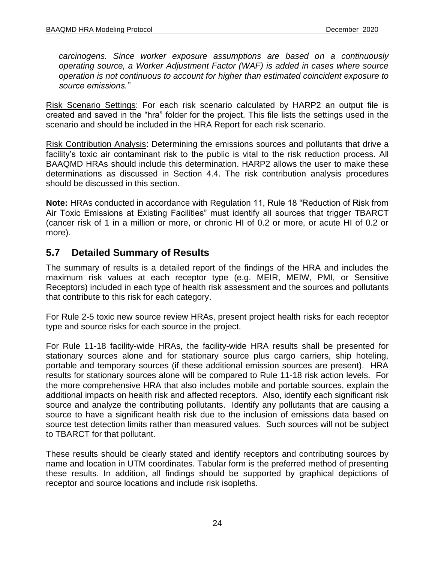*carcinogens. Since worker exposure assumptions are based on a continuously operating source, a Worker Adjustment Factor (WAF) is added in cases where source operation is not continuous to account for higher than estimated coincident exposure to source emissions."*

Risk Scenario Settings: For each risk scenario calculated by HARP2 an output file is created and saved in the "hra" folder for the project. This file lists the settings used in the scenario and should be included in the HRA Report for each risk scenario.

Risk Contribution Analysis: Determining the emissions sources and pollutants that drive a facility's toxic air contaminant risk to the public is vital to the risk reduction process. All BAAQMD HRAs should include this determination. HARP2 allows the user to make these determinations as discussed in Section 4.4. The risk contribution analysis procedures should be discussed in this section.

**Note:** HRAs conducted in accordance with Regulation 11, Rule 18 "Reduction of Risk from Air Toxic Emissions at Existing Facilities" must identify all sources that trigger TBARCT (cancer risk of 1 in a million or more, or chronic HI of 0.2 or more, or acute HI of 0.2 or more).

### **5.7 Detailed Summary of Results**

The summary of results is a detailed report of the findings of the HRA and includes the maximum risk values at each receptor type (e.g. MEIR, MEIW, PMI, or Sensitive Receptors) included in each type of health risk assessment and the sources and pollutants that contribute to this risk for each category.

For Rule 2-5 toxic new source review HRAs, present project health risks for each receptor type and source risks for each source in the project.

For Rule 11-18 facility-wide HRAs, the facility-wide HRA results shall be presented for stationary sources alone and for stationary source plus cargo carriers, ship hoteling, portable and temporary sources (if these additional emission sources are present). HRA results for stationary sources alone will be compared to Rule 11-18 risk action levels. For the more comprehensive HRA that also includes mobile and portable sources, explain the additional impacts on health risk and affected receptors. Also, identify each significant risk source and analyze the contributing pollutants. Identify any pollutants that are causing a source to have a significant health risk due to the inclusion of emissions data based on source test detection limits rather than measured values. Such sources will not be subject to TBARCT for that pollutant.

These results should be clearly stated and identify receptors and contributing sources by name and location in UTM coordinates. Tabular form is the preferred method of presenting these results. In addition, all findings should be supported by graphical depictions of receptor and source locations and include risk isopleths.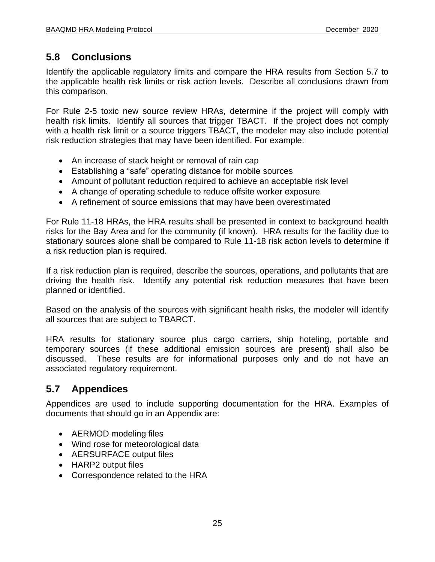# **5.8 Conclusions**

Identify the applicable regulatory limits and compare the HRA results from Section 5.7 to the applicable health risk limits or risk action levels. Describe all conclusions drawn from this comparison.

For Rule 2-5 toxic new source review HRAs, determine if the project will comply with health risk limits. Identify all sources that trigger TBACT. If the project does not comply with a health risk limit or a source triggers TBACT, the modeler may also include potential risk reduction strategies that may have been identified. For example:

- An increase of stack height or removal of rain cap
- Establishing a "safe" operating distance for mobile sources
- Amount of pollutant reduction required to achieve an acceptable risk level
- A change of operating schedule to reduce offsite worker exposure
- A refinement of source emissions that may have been overestimated

For Rule 11-18 HRAs, the HRA results shall be presented in context to background health risks for the Bay Area and for the community (if known). HRA results for the facility due to stationary sources alone shall be compared to Rule 11-18 risk action levels to determine if a risk reduction plan is required.

If a risk reduction plan is required, describe the sources, operations, and pollutants that are driving the health risk. Identify any potential risk reduction measures that have been planned or identified.

Based on the analysis of the sources with significant health risks, the modeler will identify all sources that are subject to TBARCT.

HRA results for stationary source plus cargo carriers, ship hoteling, portable and temporary sources (if these additional emission sources are present) shall also be discussed. These results are for informational purposes only and do not have an associated regulatory requirement.

# **5.7 Appendices**

Appendices are used to include supporting documentation for the HRA. Examples of documents that should go in an Appendix are:

- AERMOD modeling files
- Wind rose for meteorological data
- AERSURFACE output files
- HARP2 output files
- Correspondence related to the HRA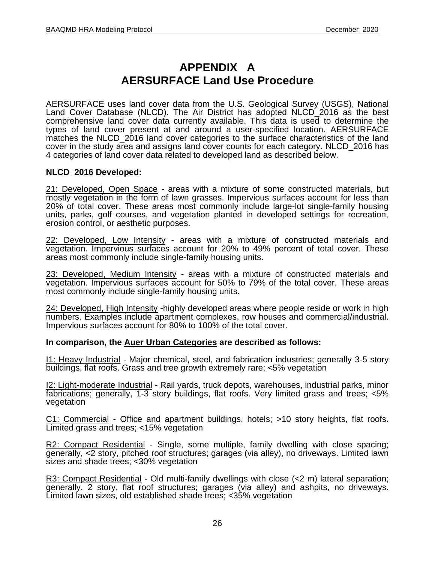# **APPENDIX A AERSURFACE Land Use Procedure**

AERSURFACE uses land cover data from the U.S. Geological Survey (USGS), National Land Cover Database (NLCD). The Air District has adopted NLCD\_2016 as the best comprehensive land cover data currently available. This data is used to determine the types of land cover present at and around a user-specified location. AERSURFACE matches the NLCD 2016 land cover categories to the surface characteristics of the land cover in the study area and assigns land cover counts for each category. NLCD\_2016 has 4 categories of land cover data related to developed land as described below.

#### **NLCD\_2016 Developed:**

21: Developed, Open Space - areas with a mixture of some constructed materials, but mostly vegetation in the form of lawn grasses. Impervious surfaces account for less than 20% of total cover. These areas most commonly include large-lot single-family housing units, parks, golf courses, and vegetation planted in developed settings for recreation, erosion control, or aesthetic purposes.

22: Developed, Low Intensity - areas with a mixture of constructed materials and vegetation. Impervious surfaces account for 20% to 49% percent of total cover. These areas most commonly include single-family housing units.

23: Developed, Medium Intensity - areas with a mixture of constructed materials and vegetation. Impervious surfaces account for 50% to 79% of the total cover. These areas most commonly include single-family housing units.

24: Developed, High Intensity -highly developed areas where people reside or work in high numbers. Examples include apartment complexes, row houses and commercial/industrial. Impervious surfaces account for 80% to 100% of the total cover.

#### **In comparison, the Auer Urban Categories are described as follows:**

I1: Heavy Industrial - Major chemical, steel, and fabrication industries; generally 3-5 story buildings, flat roofs. Grass and tree growth extremely rare; <5% vegetation

I2: Light-moderate Industrial - Rail yards, truck depots, warehouses, industrial parks, minor fabrications; generally, 1-3 story buildings, flat roofs. Very limited grass and trees; <5% vegetation

C1: Commercial - Office and apartment buildings, hotels; >10 story heights, flat roofs. Limited grass and trees; <15% vegetation

R2: Compact Residential - Single, some multiple, family dwelling with close spacing; generally, <2 story, pitched roof structures; garages (via alley), no driveways. Limited lawn sizes and shade trees; <30% vegetation

R3: Compact Residential - Old multi-family dwellings with close (<2 m) lateral separation; generally, 2 story, flat roof structures; garages (via alley) and ashpits, no driveways. Limited lawn sizes, old established shade trees; <35% vegetation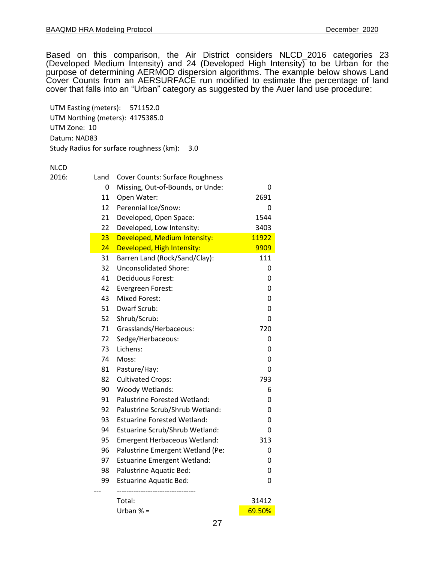Based on this comparison, the Air District considers NLCD\_2016 categories 23 (Developed Medium Intensity) and 24 (Developed High Intensity) to be Urban for the purpose of determining AERMOD dispersion algorithms. The example below shows Land Cover Counts from an AERSURFACE run modified to estimate the percentage of land cover that falls into an "Urban" category as suggested by the Auer land use procedure:

UTM Easting (meters): 571152.0 UTM Northing (meters): 4175385.0 UTM Zone: 10 Datum: NAD83 Study Radius for surface roughness (km): 3.0

#### NLCD

| 2016: | Land | <b>Cover Counts: Surface Roughness</b> |        |
|-------|------|----------------------------------------|--------|
|       | 0    | Missing, Out-of-Bounds, or Unde:       | 0      |
|       | 11   | Open Water:                            | 2691   |
|       | 12   | Perennial Ice/Snow:                    | 0      |
|       | 21   | Developed, Open Space:                 | 1544   |
|       | 22   | Developed, Low Intensity:              | 3403   |
|       | 23   | Developed, Medium Intensity:           | 11922  |
|       | 24   | Developed, High Intensity:             | 9909   |
|       | 31   | Barren Land (Rock/Sand/Clay):          | 111    |
|       | 32   | <b>Unconsolidated Shore:</b>           | 0      |
|       | 41   | Deciduous Forest:                      | 0      |
|       | 42   | Evergreen Forest:                      | 0      |
|       | 43   | <b>Mixed Forest:</b>                   | 0      |
|       | 51   | Dwarf Scrub:                           | 0      |
|       | 52   | Shrub/Scrub:                           | 0      |
|       | 71   | Grasslands/Herbaceous:                 | 720    |
|       | 72   | Sedge/Herbaceous:                      | 0      |
|       | 73   | Lichens:                               | 0      |
|       | 74   | Moss:                                  | 0      |
|       | 81   | Pasture/Hay:                           | 0      |
|       | 82   | <b>Cultivated Crops:</b>               | 793    |
|       | 90   | Woody Wetlands:                        | 6      |
|       | 91   | <b>Palustrine Forested Wetland:</b>    | 0      |
|       | 92   | Palustrine Scrub/Shrub Wetland:        | 0      |
|       | 93   | <b>Estuarine Forested Wetland:</b>     | 0      |
|       | 94   | Estuarine Scrub/Shrub Wetland:         | 0      |
|       | 95   | <b>Emergent Herbaceous Wetland:</b>    | 313    |
|       | 96   | Palustrine Emergent Wetland (Pe:       | 0      |
|       | 97   | <b>Estuarine Emergent Wetland:</b>     | 0      |
|       | 98   | Palustrine Aquatic Bed:                | 0      |
|       | 99   | <b>Estuarine Aquatic Bed:</b>          | 0      |
|       |      | Total:                                 | 31412  |
|       |      | Urban $% =$                            | 69.50% |
|       |      |                                        |        |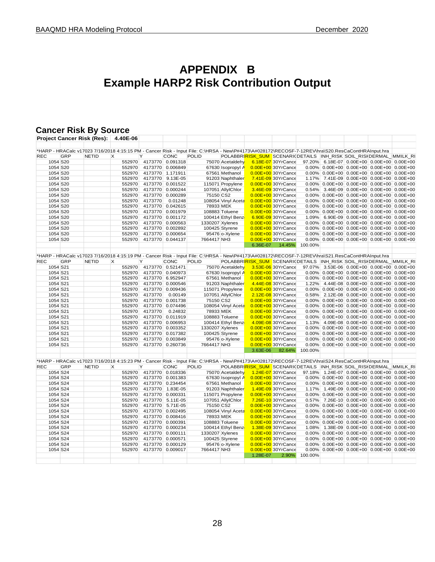# **APPENDIX B Example HARP2 Risk Contribution Output**

# **Cancer Risk By Source**

|            |     | <b>Project Cancer Risk (Res):</b> | 4.40E-06 |                         |                  |                                                                                                                                                    |                    |          |                                                                                    |         |                                              |  |
|------------|-----|-----------------------------------|----------|-------------------------|------------------|----------------------------------------------------------------------------------------------------------------------------------------------------|--------------------|----------|------------------------------------------------------------------------------------|---------|----------------------------------------------|--|
|            |     |                                   |          |                         |                  |                                                                                                                                                    |                    |          |                                                                                    |         |                                              |  |
|            |     |                                   |          |                         |                  | *HARP - HRACalc v17023 7/16/2018 4:15:15 PM - Cancer Risk - Input File: C:\HRSA - New\P#4173\A#028172\RECOSF-7-12REV\hra\S20.ResCaContHRAInput.hra |                    |          |                                                                                    |         |                                              |  |
| <b>REC</b> | GRP | <b>NETID</b>                      | X        | Y                       | CONC             | <b>POLID</b>                                                                                                                                       |                    |          | POLABBRI <mark>RISK_SUM_</mark> SCENARI(DETAILS_INH_RISK SOIL_RISI DERMAL_MMILK_RI |         |                                              |  |
| 1054 S20   |     |                                   | 552970   |                         | 4173770 0.091318 |                                                                                                                                                    | 75070 Acetaldehy   |          | 6.18E-07 30YrCance                                                                 |         | 97.20% 6.18E-07 0.00E+00 0.00E+00 0.00E+00   |  |
| 1054 S20   |     |                                   | 552970   |                         | 4173770 0.006849 |                                                                                                                                                    | 67630 Isopropyl A  |          | 0.00E+00 30YrCance                                                                 |         | $0.00\%$ 0.00E+00 0.00E+00 0.00E+00 0.00E+00 |  |
| 1054 S20   |     |                                   | 552970   |                         | 4173770 1.171911 |                                                                                                                                                    | 67561 Methanol     |          | 0.00E+00 30YrCance                                                                 |         | $0.00\%$ 0.00E+00 0.00E+00 0.00E+00 0.00E+00 |  |
| 1054 S20   |     |                                   | 552970   |                         | 4173770 9.13E-05 |                                                                                                                                                    | 91203 Naphthaler   |          | 7.41E-09 30YrCance                                                                 |         | 1.17% 7.41E-09 0.00E+00 0.00E+00 0.00E+00    |  |
| 1054 S20   |     |                                   | 552970   |                         | 4173770 0.001522 |                                                                                                                                                    | 115071 Propylene   |          | 0.00E+00 30YrCance                                                                 |         | $0.00\%$ 0.00E+00 0.00E+00 0.00E+00 0.00E+00 |  |
| 1054 S20   |     |                                   | 552970   |                         | 4173770 0.000244 |                                                                                                                                                    | 107051 AllylChlor  |          | 3.46E-09 30YrCance                                                                 |         | 0.54% 3.46E-09 0.00E+00 0.00E+00 0.00E+00    |  |
| 1054 S20   |     |                                   | 552970   |                         | 4173770 0.000289 | 75150 CS2                                                                                                                                          |                    |          | 0.00E+00 30YrCance                                                                 |         | $0.00\%$ 0.00E+00 0.00E+00 0.00E+00 0.00E+00 |  |
| 1054 S20   |     |                                   | 552970   | 4173770                 | 0.01248          |                                                                                                                                                    | 108054 Vinyl Aceta |          | 0.00E+00 30YrCance                                                                 |         | 0.00% 0.00E+00 0.00E+00 0.00E+00 0.00E+00    |  |
| 1054 S20   |     |                                   | 552970   |                         | 4173770 0.042615 | 78933 MEK                                                                                                                                          |                    |          | 0.00E+00 30YrCance                                                                 |         | $0.00\%$ 0.00E+00 0.00E+00 0.00E+00 0.00E+00 |  |
| 1054 S20   |     |                                   | 552970   |                         | 4173770 0.001979 |                                                                                                                                                    | 108883 Toluene     |          | 0.00E+00 30YrCance                                                                 |         | $0.00\%$ 0.00E+00 0.00E+00 0.00E+00 0.00E+00 |  |
| 1054 S20   |     |                                   | 552970   |                         | 4173770 0.001172 |                                                                                                                                                    | 100414 Ethyl Benz  |          | 6.90E-09 30YrCance                                                                 |         | 1.09% 6.90E-09 0.00E+00 0.00E+00 0.00E+00    |  |
| 1054 S20   |     |                                   | 552970   |                         | 4173770 0.000563 |                                                                                                                                                    | 1330207 Xylenes    |          | 0.00E+00 30YrCance                                                                 |         | $0.00\%$ 0.00E+00 0.00E+00 0.00E+00 0.00E+00 |  |
| 1054 S20   |     |                                   | 552970   |                         | 4173770 0.002892 |                                                                                                                                                    | 100425 Styrene     |          | 0.00E+00 30YrCance                                                                 |         | $0.00\%$ 0.00E+00 0.00E+00 0.00E+00 0.00E+00 |  |
| 1054 S20   |     |                                   | 552970   |                         | 4173770 0.000654 |                                                                                                                                                    | 95476 o-Xylene     |          | 0.00E+00 30YrCance                                                                 |         | $0.00\%$ 0.00E+00 0.00E+00 0.00E+00 0.00E+00 |  |
|            |     |                                   |          |                         |                  | 7664417 NH3                                                                                                                                        |                    |          |                                                                                    |         | 0.00% 0.00E+00 0.00E+00 0.00E+00 0.00E+00    |  |
| 1054 S20   |     |                                   | 552970   |                         | 4173770 0.044137 |                                                                                                                                                    |                    |          | 0.00E+00 30YrCance                                                                 |         |                                              |  |
|            |     |                                   |          |                         |                  |                                                                                                                                                    |                    | 6.36E-07 | 14.45%                                                                             | 100.00% |                                              |  |
|            |     |                                   |          |                         |                  | *HARP - HRACalc v17023 7/16/2018 4:15:19 PM - Cancer Risk - Input File: C:\HRSA - New\P#4173\A#028172\RECOSF-7-12REV\hra\S21.ResCaContHRAInput.hra |                    |          |                                                                                    |         |                                              |  |
| <b>REC</b> | GRP | <b>NETID</b>                      | Х        | Y                       | CONC             | <b>POLID</b>                                                                                                                                       |                    |          | POLABBRI <mark>RISK_SUM_</mark> SCENARI(DETAILS_INH_RISK SOIL_RISI DERMAL_MMILK_RI |         |                                              |  |
| 1054 S21   |     |                                   | 552970   |                         | 4173770 0.521471 |                                                                                                                                                    | 75070 Acetaldehy   |          | 3.53E-06 30YrCance                                                                 |         | 97.07% 3.53E-06 0.00E+00 0.00E+00 0.00E+00   |  |
| 1054 S21   |     |                                   | 552970   |                         | 4173770 0.040973 |                                                                                                                                                    | 67630 Isopropyl A  |          | 0.00E+00 30YrCance                                                                 |         | 0.00% 0.00E+00 0.00E+00 0.00E+00 0.00E+00    |  |
| 1054 S21   |     |                                   |          |                         | 4173770 6.952947 |                                                                                                                                                    | 67561 Methanol     |          | 0.00E+00 30YrCance                                                                 |         | $0.00\%$ 0.00E+00 0.00E+00 0.00E+00 0.00E+00 |  |
|            |     |                                   | 552970   |                         |                  |                                                                                                                                                    |                    |          |                                                                                    |         |                                              |  |
| 1054 S21   |     |                                   | 552970   |                         | 4173770 0.000546 |                                                                                                                                                    | 91203 Naphthaler   |          | 4.44E-08 30YrCance                                                                 |         | 1.22% 4.44E-08 0.00E+00 0.00E+00 0.00E+00    |  |
| 1054 S21   |     |                                   | 552970   |                         | 4173770 0.009436 |                                                                                                                                                    | 115071 Propylene   |          | 0.00E+00 30YrCance                                                                 |         | $0.00\%$ 0.00E+00 0.00E+00 0.00E+00 0.00E+00 |  |
| 1054 S21   |     |                                   | 552970   | 4173770                 | 0.00149          |                                                                                                                                                    | 107051 AllylChlor  |          | 2.12E-08 30YrCance                                                                 |         | 0.58% 2.12E-08 0.00E+00 0.00E+00 0.00E+00    |  |
| 1054 S21   |     |                                   | 552970   |                         | 4173770 0.001738 | 75150 CS2                                                                                                                                          |                    |          | 0.00E+00 30YrCance                                                                 |         | $0.00\%$ 0.00E+00 0.00E+00 0.00E+00 0.00E+00 |  |
| 1054 S21   |     |                                   | 552970   |                         | 4173770 0.074496 |                                                                                                                                                    | 108054 Vinyl Aceta |          | 0.00E+00 30YrCance                                                                 |         | $0.00\%$ 0.00E+00 0.00E+00 0.00E+00 0.00E+00 |  |
| 1054 S21   |     |                                   | 552970   | 4173770                 | 0.24832          | 78933 MEK                                                                                                                                          |                    |          | 0.00E+00 30YrCance                                                                 |         | $0.00\%$ 0.00E+00 0.00E+00 0.00E+00 0.00E+00 |  |
| 1054 S21   |     |                                   | 552970   |                         | 4173770 0.011919 |                                                                                                                                                    | 108883 Toluene     |          | 0.00E+00 30YrCance                                                                 |         | $0.00\%$ 0.00E+00 0.00E+00 0.00E+00 0.00E+00 |  |
| 1054 S21   |     |                                   | 552970   |                         | 4173770 0.006953 |                                                                                                                                                    | 100414 Ethyl Benz  |          | 4.09E-08 30YrCance                                                                 |         | 1.13% 4.09E-08 0.00E+00 0.00E+00 0.00E+00    |  |
| 1054 S21   |     |                                   | 552970   |                         | 4173770 0.003352 |                                                                                                                                                    | 1330207 Xylenes    |          | 0.00E+00 30YrCance                                                                 |         | $0.00\%$ 0.00E+00 0.00E+00 0.00E+00 0.00E+00 |  |
| 1054 S21   |     |                                   | 552970   |                         | 4173770 0.017382 |                                                                                                                                                    | 100425 Styrene     |          | 0.00E+00 30YrCance                                                                 |         | $0.00\%$ 0.00E+00 0.00E+00 0.00E+00 0.00E+00 |  |
| 1054 S21   |     |                                   | 552970   |                         | 4173770 0.003849 |                                                                                                                                                    | 95476 o-Xylene     |          | 0.00E+00 30YrCance                                                                 |         | $0.00\%$ 0.00E+00 0.00E+00 0.00E+00 0.00E+00 |  |
| 1054 S21   |     |                                   | 552970   |                         | 4173770 0.260736 | 7664417 NH3                                                                                                                                        |                    |          | 0.00E+00 30YrCance                                                                 |         | $0.00\%$ 0.00E+00 0.00E+00 0.00E+00 0.00E+00 |  |
|            |     |                                   |          |                         |                  |                                                                                                                                                    |                    | 3.63E-06 | 82.64%                                                                             | 100.00% |                                              |  |
|            |     |                                   |          |                         |                  |                                                                                                                                                    |                    |          |                                                                                    |         |                                              |  |
|            |     |                                   |          |                         |                  | *HARP - HRACalc v17023 7/16/2018 4:15:23 PM - Cancer Risk - Input File: C:\HRSA - New\P#4173\A#028172\RECOSF-7-12REV\hra\S24.ResCaContHRAInput.hra |                    |          |                                                                                    |         |                                              |  |
| <b>REC</b> | GRP | <b>NETID</b>                      | Х        | Υ                       | CONC             | <b>POLID</b>                                                                                                                                       |                    |          | POLABBRIRISK SUM SCENARIODETAILS INH RISK SOIL RISK DERMAL MMILK RI                |         |                                              |  |
| 1054 S24   |     |                                   |          | 552970 4173770 0.018336 |                  |                                                                                                                                                    | 75070 Acetaldehy   |          | 1.24E-07 30YrCance                                                                 |         | 97.18% 1.24E-07 0.00E+00 0.00E+00 0.00E+00   |  |
| 1054 S24   |     |                                   | 552970   |                         | 4173770 0.001383 |                                                                                                                                                    | 67630 Isopropyl A  |          | 0.00E+00 30YrCance                                                                 |         | $0.00\%$ 0.00E+00 0.00E+00 0.00E+00 0.00E+00 |  |
|            |     |                                   |          |                         |                  |                                                                                                                                                    |                    |          |                                                                                    |         |                                              |  |
| 1054 S24   |     |                                   | 552970   |                         | 4173770 0.234454 |                                                                                                                                                    | 67561 Methanol     |          | 0.00E+00 30YrCance                                                                 |         | $0.00\%$ 0.00E+00 0.00E+00 0.00E+00 0.00E+00 |  |
| 1054 S24   |     |                                   | 552970   |                         | 4173770 1.83E-05 |                                                                                                                                                    | 91203 Naphthaler   |          | 1.49E-09 30YrCance                                                                 |         | 1.17% 1.49E-09 0.00E+00 0.00E+00 0.00E+00    |  |
| 1054 S24   |     |                                   | 552970   |                         | 4173770 0.000331 |                                                                                                                                                    | 115071 Propylene   |          | 0.00E+00 30YrCance                                                                 |         | $0.00\%$ 0.00E+00 0.00E+00 0.00E+00 0.00E+00 |  |
| 1054 S24   |     |                                   | 552970   |                         | 4173770 5.11E-05 |                                                                                                                                                    | 107051 AllylChlor  |          | 7.26E-10 30YrCance                                                                 |         | 0.57% 7.26E-10 0.00E+00 0.00E+00 0.00E+00    |  |
| 1054 S24   |     |                                   | 552970   |                         | 4173770 5.71E-05 | 75150 CS2                                                                                                                                          |                    |          | 0.00E+00 30YrCance                                                                 |         | $0.00\%$ 0.00E+00 0.00E+00 0.00E+00 0.00E+00 |  |
| 1054 S24   |     |                                   | 552970   |                         | 4173770 0.002495 |                                                                                                                                                    | 108054 Vinyl Aceta |          | 0.00E+00 30YrCance                                                                 |         | $0.00\%$ 0.00E+00 0.00E+00 0.00E+00 0.00E+00 |  |
| 1054 S24   |     |                                   | 552970   |                         | 4173770 0.008416 | 78933 MEK                                                                                                                                          |                    |          | 0.00E+00 30YrCance                                                                 |         | $0.00\%$ 0.00E+00 0.00E+00 0.00E+00 0.00E+00 |  |
| 1054 S24   |     |                                   | 552970   |                         | 4173770 0.000391 |                                                                                                                                                    | 108883 Toluene     |          | 0.00E+00 30YrCance                                                                 |         | $0.00\%$ 0.00E+00 0.00E+00 0.00E+00 0.00E+00 |  |
| 1054 S24   |     |                                   | 552970   |                         | 4173770 0.000234 |                                                                                                                                                    | 100414 Ethyl Benz  |          | 1.38E-09 30YrCance                                                                 |         | 1.08% 1.38E-09 0.00E+00 0.00E+00 0.00E+00    |  |
| 1054 S24   |     |                                   | 552970   |                         | 4173770 0.000111 |                                                                                                                                                    | 1330207 Xylenes    |          | 0.00E+00 30YrCance                                                                 |         | $0.00\%$ 0.00E+00 0.00E+00 0.00E+00 0.00E+00 |  |
| 1054 S24   |     |                                   | 552970   |                         | 4173770 0.000571 |                                                                                                                                                    | 100425 Styrene     |          | 0.00E+00 30YrCance                                                                 |         | $0.00\%$ 0.00E+00 0.00E+00 0.00E+00 0.00E+00 |  |
| 1054 S24   |     |                                   | 552970   |                         | 4173770 0.000129 |                                                                                                                                                    | 95476 o-Xylene     |          | 0.00E+00 30YrCance                                                                 |         | $0.00\%$ 0.00E+00 0.00E+00 0.00E+00 0.00E+00 |  |
| 1054 S24   |     |                                   | 552970   |                         | 4173770 0.009017 | 7664417 NH3                                                                                                                                        |                    |          | $0.00E+00$ 30YrCance                                                               |         | $0.00\%$ 0.00E+00 0.00E+00 0.00E+00 0.00E+00 |  |
|            |     |                                   |          |                         |                  |                                                                                                                                                    |                    | 1.28E-07 | 2.90%                                                                              | 100.00% |                                              |  |
|            |     |                                   |          |                         |                  |                                                                                                                                                    |                    |          |                                                                                    |         |                                              |  |
|            |     |                                   |          |                         |                  |                                                                                                                                                    |                    |          |                                                                                    |         |                                              |  |